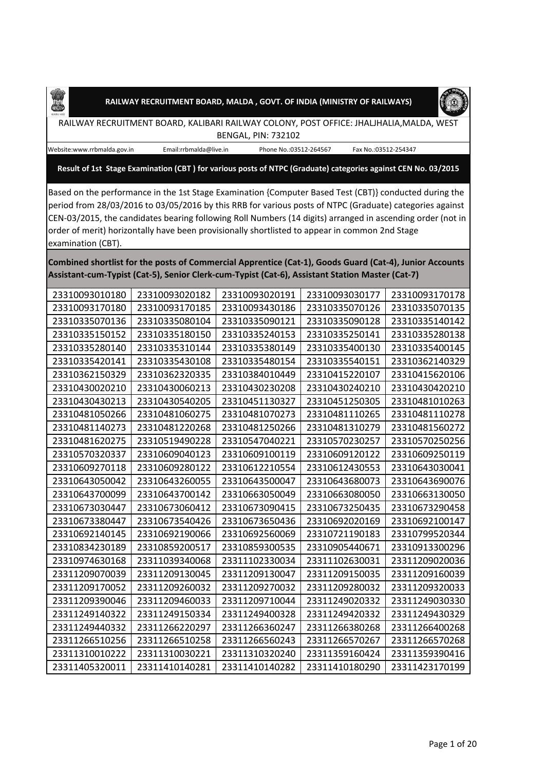



RAILWAY RECRUITMENT BOARD, KALIBARI RAILWAY COLONY, POST OFFICE: JHALJHALIA,MALDA, WEST BENGAL, PIN: 732102

Æ

Website:www.rrbmalda.gov.in Email:rrbmalda@live.in Phone No.:03512-264567 Fax No.:03512-254347

**Result of 1st Stage Examination (CBT ) for various posts of NTPC (Graduate) categories against CEN No. 03/2015**

Based on the performance in the 1st Stage Examination {Computer Based Test (CBT)} conducted during the period from 28/03/2016 to 03/05/2016 by this RRB for various posts of NTPC (Graduate) categories against CEN-03/2015, the candidates bearing following Roll Numbers (14 digits) arranged in ascending order (not in order of merit) horizontally have been provisionally shortlisted to appear in common 2nd Stage examination (CBT).

**Combined shortlist for the posts of Commercial Apprentice (Cat-1), Goods Guard (Cat-4), Junior Accounts Assistant-cum-Typist (Cat-5), Senior Clerk-cum-Typist (Cat-6), Assistant Station Master (Cat-7)**

| 23310093010180 | 23310093020182 | 23310093020191 | 23310093030177 | 23310093170178 |
|----------------|----------------|----------------|----------------|----------------|
| 23310093170180 | 23310093170185 | 23310093430186 | 23310335070126 | 23310335070135 |
| 23310335070136 | 23310335080104 | 23310335090121 | 23310335090128 | 23310335140142 |
| 23310335150152 | 23310335180150 | 23310335240153 | 23310335250141 | 23310335280138 |
| 23310335280140 | 23310335310144 | 23310335380149 | 23310335400130 | 23310335400145 |
| 23310335420141 | 23310335430108 | 23310335480154 | 23310335540151 | 23310362140329 |
| 23310362150329 | 23310362320335 | 23310384010449 | 23310415220107 | 23310415620106 |
| 23310430020210 | 23310430060213 | 23310430230208 | 23310430240210 | 23310430420210 |
| 23310430430213 | 23310430540205 | 23310451130327 | 23310451250305 | 23310481010263 |
| 23310481050266 | 23310481060275 | 23310481070273 | 23310481110265 | 23310481110278 |
| 23310481140273 | 23310481220268 | 23310481250266 | 23310481310279 | 23310481560272 |
| 23310481620275 | 23310519490228 | 23310547040221 | 23310570230257 | 23310570250256 |
| 23310570320337 | 23310609040123 | 23310609100119 | 23310609120122 | 23310609250119 |
| 23310609270118 | 23310609280122 | 23310612210554 | 23310612430553 | 23310643030041 |
| 23310643050042 | 23310643260055 | 23310643500047 | 23310643680073 | 23310643690076 |
| 23310643700099 | 23310643700142 | 23310663050049 | 23310663080050 | 23310663130050 |
| 23310673030447 | 23310673060412 | 23310673090415 | 23310673250435 | 23310673290458 |
| 23310673380447 | 23310673540426 | 23310673650436 | 23310692020169 | 23310692100147 |
| 23310692140145 | 23310692190066 | 23310692560069 | 23310721190183 | 23310799520344 |
| 23310834230189 | 23310859200517 | 23310859300535 | 23310905440671 | 23310913300296 |
| 23310974630168 | 23311039340068 | 23311102330034 | 23311102630031 | 23311209020036 |
| 23311209070039 | 23311209130045 | 23311209130047 | 23311209150035 | 23311209160039 |
| 23311209170052 | 23311209260032 | 23311209270032 | 23311209280032 | 23311209320033 |
| 23311209390046 | 23311209460033 | 23311209710044 | 23311249020332 | 23311249030330 |
| 23311249140322 | 23311249150334 | 23311249400328 | 23311249420332 | 23311249430329 |
| 23311249440332 | 23311266220297 | 23311266360247 | 23311266380268 | 23311266400268 |
| 23311266510256 | 23311266510258 | 23311266560243 | 23311266570267 | 23311266570268 |
| 23311310010222 | 23311310030221 | 23311310320240 | 23311359160424 | 23311359390416 |
| 23311405320011 | 23311410140281 | 23311410140282 | 23311410180290 | 23311423170199 |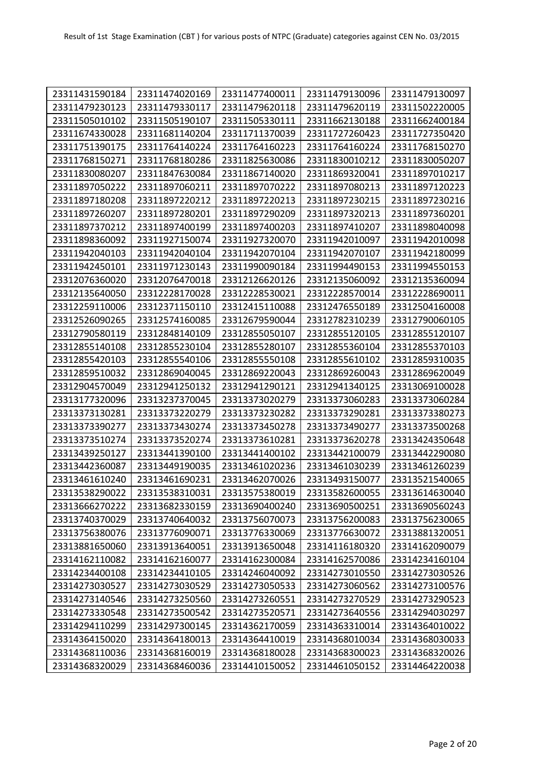| 23311431590184 | 23311474020169 | 23311477400011 | 23311479130096 | 23311479130097 |
|----------------|----------------|----------------|----------------|----------------|
| 23311479230123 | 23311479330117 | 23311479620118 | 23311479620119 | 23311502220005 |
| 23311505010102 | 23311505190107 | 23311505330111 | 23311662130188 | 23311662400184 |
| 23311674330028 | 23311681140204 | 23311711370039 | 23311727260423 | 23311727350420 |
| 23311751390175 | 23311764140224 | 23311764160223 | 23311764160224 | 23311768150270 |
| 23311768150271 | 23311768180286 | 23311825630086 | 23311830010212 | 23311830050207 |
| 23311830080207 | 23311847630084 | 23311867140020 | 23311869320041 | 23311897010217 |
| 23311897050222 | 23311897060211 | 23311897070222 | 23311897080213 | 23311897120223 |
| 23311897180208 | 23311897220212 | 23311897220213 | 23311897230215 | 23311897230216 |
| 23311897260207 | 23311897280201 | 23311897290209 | 23311897320213 | 23311897360201 |
| 23311897370212 | 23311897400199 | 23311897400203 | 23311897410207 | 23311898040098 |
| 23311898360092 | 23311927150074 | 23311927320070 | 23311942010097 | 23311942010098 |
| 23311942040103 | 23311942040104 | 23311942070104 | 23311942070107 | 23311942180099 |
| 23311942450101 | 23311971230143 | 23311990090184 | 23311994490153 | 23311994550153 |
| 23312076360020 | 23312076470018 | 23312126620126 | 23312135060092 | 23312135360094 |
| 23312135640050 | 23312228170028 | 23312228530021 | 23312228570014 | 23312228690011 |
| 23312259110006 | 23312371150110 | 23312415110088 | 23312476550189 | 23312504160008 |
| 23312526090265 | 23312574160085 | 23312679590044 | 23312782310239 | 23312790060105 |
| 23312790580119 | 23312848140109 | 23312855050107 | 23312855120105 | 23312855120107 |
| 23312855140108 | 23312855230104 | 23312855280107 | 23312855360104 | 23312855370103 |
| 23312855420103 | 23312855540106 | 23312855550108 | 23312855610102 | 23312859310035 |
| 23312859510032 | 23312869040045 | 23312869220043 | 23312869260043 | 23312869620049 |
| 23312904570049 | 23312941250132 | 23312941290121 | 23312941340125 | 23313069100028 |
| 23313177320096 | 23313237370045 | 23313373020279 | 23313373060283 | 23313373060284 |
| 23313373130281 | 23313373220279 | 23313373230282 | 23313373290281 | 23313373380273 |
| 23313373390277 | 23313373430274 | 23313373450278 | 23313373490277 | 23313373500268 |
| 23313373510274 | 23313373520274 | 23313373610281 | 23313373620278 | 23313424350648 |
| 23313439250127 | 23313441390100 | 23313441400102 | 23313442100079 | 23313442290080 |
| 23313442360087 | 23313449190035 | 23313461020236 | 23313461030239 | 23313461260239 |
| 23313461610240 | 23313461690231 | 23313462070026 | 23313493150077 | 23313521540065 |
| 23313538290022 | 23313538310031 | 23313575380019 | 23313582600055 | 23313614630040 |
| 23313666270222 | 23313682330159 | 23313690400240 | 23313690500251 | 23313690560243 |
| 23313740370029 | 23313740640032 | 23313756070073 | 23313756200083 | 23313756230065 |
| 23313756380076 | 23313776090071 | 23313776330069 | 23313776630072 | 23313881320051 |
| 23313881650060 | 23313913640051 | 23313913650048 | 23314116180320 | 23314162090079 |
| 23314162110082 | 23314162160077 | 23314162300084 | 23314162570086 | 23314234160104 |
| 23314234400108 | 23314234410105 | 23314246040092 | 23314273010550 | 23314273030526 |
| 23314273030527 | 23314273030529 | 23314273050533 | 23314273060562 | 23314273100576 |
| 23314273140546 | 23314273250560 | 23314273260551 | 23314273270529 | 23314273290523 |
| 23314273330548 | 23314273500542 | 23314273520571 | 23314273640556 | 23314294030297 |
| 23314294110299 | 23314297300145 | 23314362170059 | 23314363310014 | 23314364010022 |
| 23314364150020 | 23314364180013 | 23314364410019 | 23314368010034 | 23314368030033 |
| 23314368110036 | 23314368160019 | 23314368180028 | 23314368300023 | 23314368320026 |
| 23314368320029 | 23314368460036 | 23314410150052 | 23314461050152 | 23314464220038 |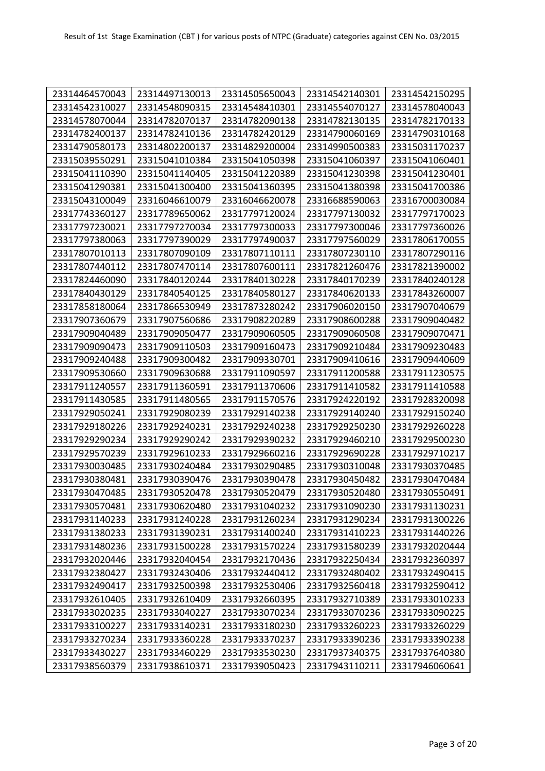| 23314464570043 | 23314497130013 | 23314505650043 | 23314542140301 | 23314542150295 |
|----------------|----------------|----------------|----------------|----------------|
| 23314542310027 | 23314548090315 | 23314548410301 | 23314554070127 | 23314578040043 |
| 23314578070044 | 23314782070137 | 23314782090138 | 23314782130135 | 23314782170133 |
| 23314782400137 | 23314782410136 | 23314782420129 | 23314790060169 | 23314790310168 |
| 23314790580173 | 23314802200137 | 23314829200004 | 23314990500383 | 23315031170237 |
| 23315039550291 | 23315041010384 | 23315041050398 | 23315041060397 | 23315041060401 |
| 23315041110390 | 23315041140405 | 23315041220389 | 23315041230398 | 23315041230401 |
| 23315041290381 | 23315041300400 | 23315041360395 | 23315041380398 | 23315041700386 |
| 23315043100049 | 23316046610079 | 23316046620078 | 23316688590063 | 23316700030084 |
| 23317743360127 | 23317789650062 | 23317797120024 | 23317797130032 | 23317797170023 |
| 23317797230021 | 23317797270034 | 23317797300033 | 23317797300046 | 23317797360026 |
| 23317797380063 | 23317797390029 | 23317797490037 | 23317797560029 | 23317806170055 |
| 23317807010113 | 23317807090109 | 23317807110111 | 23317807230110 | 23317807290116 |
| 23317807440112 | 23317807470114 | 23317807600111 | 23317821260476 | 23317821390002 |
| 23317824460090 | 23317840120244 | 23317840130228 | 23317840170239 | 23317840240128 |
| 23317840430129 | 23317840540125 | 23317840580127 | 23317840620133 | 23317843260007 |
| 23317858180064 | 23317866530949 | 23317873280242 | 23317906020150 | 23317907040679 |
| 23317907360679 | 23317907560686 | 23317908220289 | 23317908600288 | 23317909040482 |
| 23317909040489 | 23317909050477 | 23317909060505 | 23317909060508 | 23317909070471 |
| 23317909090473 | 23317909110503 | 23317909160473 | 23317909210484 | 23317909230483 |
| 23317909240488 | 23317909300482 | 23317909330701 | 23317909410616 | 23317909440609 |
| 23317909530660 | 23317909630688 | 23317911090597 | 23317911200588 | 23317911230575 |
| 23317911240557 | 23317911360591 | 23317911370606 | 23317911410582 | 23317911410588 |
| 23317911430585 | 23317911480565 | 23317911570576 | 23317924220192 | 23317928320098 |
| 23317929050241 | 23317929080239 | 23317929140238 | 23317929140240 | 23317929150240 |
| 23317929180226 | 23317929240231 | 23317929240238 | 23317929250230 | 23317929260228 |
| 23317929290234 | 23317929290242 | 23317929390232 | 23317929460210 | 23317929500230 |
| 23317929570239 | 23317929610233 | 23317929660216 | 23317929690228 | 23317929710217 |
| 23317930030485 | 23317930240484 | 23317930290485 | 23317930310048 | 23317930370485 |
| 23317930380481 | 23317930390476 | 23317930390478 | 23317930450482 | 23317930470484 |
| 23317930470485 | 23317930520478 | 23317930520479 | 23317930520480 | 23317930550491 |
| 23317930570481 | 23317930620480 | 23317931040232 | 23317931090230 | 23317931130231 |
| 23317931140233 | 23317931240228 | 23317931260234 | 23317931290234 | 23317931300226 |
| 23317931380233 | 23317931390231 | 23317931400240 | 23317931410223 | 23317931440226 |
| 23317931480236 | 23317931500228 | 23317931570224 | 23317931580239 | 23317932020444 |
| 23317932020446 | 23317932040454 | 23317932170436 | 23317932250434 | 23317932360397 |
| 23317932380427 | 23317932430406 | 23317932440412 | 23317932480402 | 23317932490415 |
| 23317932490417 | 23317932500398 | 23317932530406 | 23317932560418 | 23317932590412 |
| 23317932610405 | 23317932610409 | 23317932660395 | 23317932710389 | 23317933010233 |
| 23317933020235 | 23317933040227 | 23317933070234 | 23317933070236 | 23317933090225 |
| 23317933100227 | 23317933140231 | 23317933180230 | 23317933260223 | 23317933260229 |
| 23317933270234 | 23317933360228 | 23317933370237 | 23317933390236 | 23317933390238 |
| 23317933430227 | 23317933460229 | 23317933530230 | 23317937340375 | 23317937640380 |
| 23317938560379 | 23317938610371 | 23317939050423 | 23317943110211 | 23317946060641 |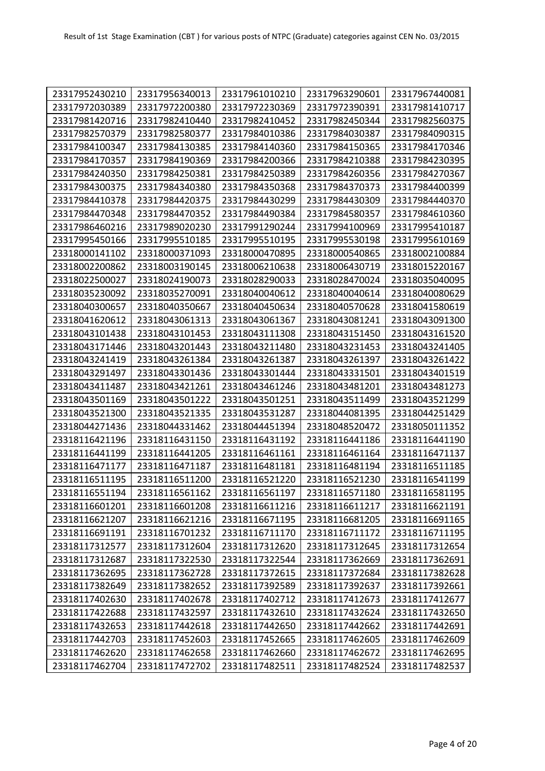| 23317952430210 | 23317956340013 | 23317961010210 | 23317963290601 | 23317967440081 |
|----------------|----------------|----------------|----------------|----------------|
| 23317972030389 | 23317972200380 | 23317972230369 | 23317972390391 | 23317981410717 |
| 23317981420716 | 23317982410440 | 23317982410452 | 23317982450344 | 23317982560375 |
| 23317982570379 | 23317982580377 | 23317984010386 | 23317984030387 | 23317984090315 |
| 23317984100347 | 23317984130385 | 23317984140360 | 23317984150365 | 23317984170346 |
| 23317984170357 | 23317984190369 | 23317984200366 | 23317984210388 | 23317984230395 |
| 23317984240350 | 23317984250381 | 23317984250389 | 23317984260356 | 23317984270367 |
| 23317984300375 | 23317984340380 | 23317984350368 | 23317984370373 | 23317984400399 |
| 23317984410378 | 23317984420375 | 23317984430299 | 23317984430309 | 23317984440370 |
| 23317984470348 | 23317984470352 | 23317984490384 | 23317984580357 | 23317984610360 |
| 23317986460216 | 23317989020230 | 23317991290244 | 23317994100969 | 23317995410187 |
| 23317995450166 | 23317995510185 | 23317995510195 | 23317995530198 | 23317995610169 |
| 23318000141102 | 23318000371093 | 23318000470895 | 23318000540865 | 23318002100884 |
| 23318002200862 | 23318003190145 | 23318006210638 | 23318006430719 | 23318015220167 |
| 23318022500027 | 23318024190073 | 23318028290033 | 23318028470024 | 23318035040095 |
| 23318035230092 | 23318035270091 | 23318040040612 | 23318040040614 | 23318040080629 |
| 23318040300657 | 23318040350667 | 23318040450634 | 23318040570628 | 23318041580619 |
| 23318041620612 | 23318043061313 | 23318043061367 | 23318043081241 | 23318043091300 |
| 23318043101438 | 23318043101453 | 23318043111308 | 23318043151450 | 23318043161520 |
| 23318043171446 | 23318043201443 | 23318043211480 | 23318043231453 | 23318043241405 |
| 23318043241419 | 23318043261384 | 23318043261387 | 23318043261397 | 23318043261422 |
| 23318043291497 | 23318043301436 | 23318043301444 | 23318043331501 | 23318043401519 |
| 23318043411487 | 23318043421261 | 23318043461246 | 23318043481201 | 23318043481273 |
| 23318043501169 | 23318043501222 | 23318043501251 | 23318043511499 | 23318043521299 |
| 23318043521300 | 23318043521335 | 23318043531287 | 23318044081395 | 23318044251429 |
| 23318044271436 | 23318044331462 | 23318044451394 | 23318048520472 | 23318050111352 |
| 23318116421196 | 23318116431150 | 23318116431192 | 23318116441186 | 23318116441190 |
| 23318116441199 | 23318116441205 | 23318116461161 | 23318116461164 | 23318116471137 |
| 23318116471177 | 23318116471187 | 23318116481181 | 23318116481194 | 23318116511185 |
| 23318116511195 | 23318116511200 | 23318116521220 | 23318116521230 | 23318116541199 |
| 23318116551194 | 23318116561162 | 23318116561197 | 23318116571180 | 23318116581195 |
| 23318116601201 | 23318116601208 | 23318116611216 | 23318116611217 | 23318116621191 |
| 23318116621207 | 23318116621216 | 23318116671195 | 23318116681205 | 23318116691165 |
| 23318116691191 | 23318116701232 | 23318116711170 | 23318116711172 | 23318116711195 |
| 23318117312577 | 23318117312604 | 23318117312620 | 23318117312645 | 23318117312654 |
| 23318117312687 | 23318117322530 | 23318117322544 | 23318117362669 | 23318117362691 |
| 23318117362695 | 23318117362728 | 23318117372615 | 23318117372684 | 23318117382628 |
| 23318117382649 | 23318117382652 | 23318117392589 | 23318117392637 | 23318117392661 |
| 23318117402630 | 23318117402678 | 23318117402712 | 23318117412673 | 23318117412677 |
| 23318117422688 | 23318117432597 | 23318117432610 | 23318117432624 | 23318117432650 |
| 23318117432653 | 23318117442618 | 23318117442650 | 23318117442662 | 23318117442691 |
| 23318117442703 | 23318117452603 | 23318117452665 | 23318117462605 | 23318117462609 |
| 23318117462620 | 23318117462658 | 23318117462660 | 23318117462672 | 23318117462695 |
| 23318117462704 | 23318117472702 | 23318117482511 | 23318117482524 | 23318117482537 |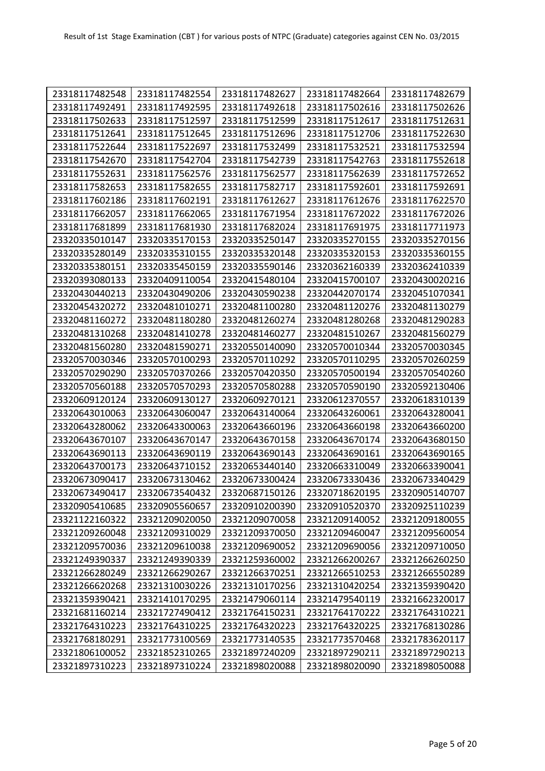| 23318117482548 | 23318117482554 | 23318117482627 | 23318117482664 | 23318117482679 |
|----------------|----------------|----------------|----------------|----------------|
| 23318117492491 | 23318117492595 | 23318117492618 | 23318117502616 | 23318117502626 |
| 23318117502633 | 23318117512597 | 23318117512599 | 23318117512617 | 23318117512631 |
| 23318117512641 | 23318117512645 | 23318117512696 | 23318117512706 | 23318117522630 |
| 23318117522644 | 23318117522697 | 23318117532499 | 23318117532521 | 23318117532594 |
| 23318117542670 | 23318117542704 | 23318117542739 | 23318117542763 | 23318117552618 |
| 23318117552631 | 23318117562576 | 23318117562577 | 23318117562639 | 23318117572652 |
| 23318117582653 | 23318117582655 | 23318117582717 | 23318117592601 | 23318117592691 |
| 23318117602186 | 23318117602191 | 23318117612627 | 23318117612676 | 23318117622570 |
| 23318117662057 | 23318117662065 | 23318117671954 | 23318117672022 | 23318117672026 |
| 23318117681899 | 23318117681930 | 23318117682024 | 23318117691975 | 23318117711973 |
| 23320335010147 | 23320335170153 | 23320335250147 | 23320335270155 | 23320335270156 |
| 23320335280149 | 23320335310155 | 23320335320148 | 23320335320153 | 23320335360155 |
| 23320335380151 | 23320335450159 | 23320335590146 | 23320362160339 | 23320362410339 |
| 23320393080133 | 23320409110054 | 23320415480104 | 23320415700107 | 23320430020216 |
| 23320430440213 | 23320430490206 | 23320430590238 | 23320442070174 | 23320451070341 |
| 23320454320272 | 23320481010271 | 23320481100280 | 23320481120276 | 23320481130279 |
| 23320481160272 | 23320481180280 | 23320481260274 | 23320481280268 | 23320481290283 |
| 23320481310268 | 23320481410278 | 23320481460277 | 23320481510267 | 23320481560279 |
| 23320481560280 | 23320481590271 | 23320550140090 | 23320570010344 | 23320570030345 |
| 23320570030346 | 23320570100293 | 23320570110292 | 23320570110295 | 23320570260259 |
| 23320570290290 | 23320570370266 | 23320570420350 | 23320570500194 | 23320570540260 |
| 23320570560188 | 23320570570293 | 23320570580288 | 23320570590190 | 23320592130406 |
| 23320609120124 | 23320609130127 | 23320609270121 | 23320612370557 | 23320618310139 |
| 23320643010063 | 23320643060047 | 23320643140064 | 23320643260061 | 23320643280041 |
| 23320643280062 | 23320643300063 | 23320643660196 | 23320643660198 | 23320643660200 |
| 23320643670107 | 23320643670147 | 23320643670158 | 23320643670174 | 23320643680150 |
| 23320643690113 | 23320643690119 | 23320643690143 | 23320643690161 | 23320643690165 |
| 23320643700173 | 23320643710152 | 23320653440140 | 23320663310049 | 23320663390041 |
| 23320673090417 | 23320673130462 | 23320673300424 | 23320673330436 | 23320673340429 |
| 23320673490417 | 23320673540432 | 23320687150126 | 23320718620195 | 23320905140707 |
| 23320905410685 | 23320905560657 | 23320910200390 | 23320910520370 | 23320925110239 |
| 23321122160322 | 23321209020050 | 23321209070058 | 23321209140052 | 23321209180055 |
| 23321209260048 | 23321209310029 | 23321209370050 | 23321209460047 | 23321209560054 |
| 23321209570036 | 23321209610038 | 23321209690052 | 23321209690056 | 23321209710050 |
| 23321249390337 | 23321249390339 | 23321259360002 | 23321266200267 | 23321266260250 |
| 23321266280249 | 23321266290267 | 23321266370251 | 23321266510253 | 23321266550289 |
| 23321266620268 | 23321310030226 | 23321310170256 | 23321310420254 | 23321359390420 |
| 23321359390421 | 23321410170295 | 23321479060114 | 23321479540119 | 23321662320017 |
| 23321681160214 | 23321727490412 | 23321764150231 | 23321764170222 | 23321764310221 |
| 23321764310223 | 23321764310225 | 23321764320223 | 23321764320225 | 23321768130286 |
| 23321768180291 | 23321773100569 | 23321773140535 | 23321773570468 | 23321783620117 |
| 23321806100052 | 23321852310265 | 23321897240209 | 23321897290211 | 23321897290213 |
| 23321897310223 | 23321897310224 | 23321898020088 | 23321898020090 | 23321898050088 |
|                |                |                |                |                |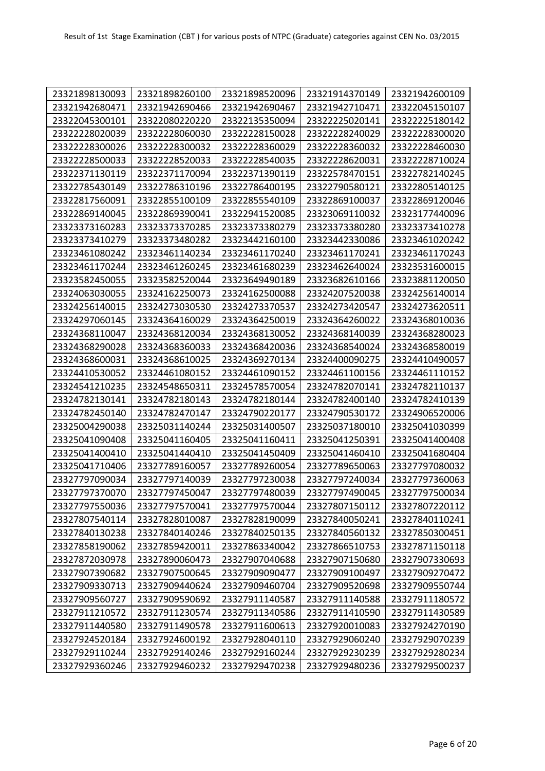| 23321898130093 | 23321898260100 | 23321898520096 | 23321914370149 | 23321942600109 |
|----------------|----------------|----------------|----------------|----------------|
| 23321942680471 | 23321942690466 | 23321942690467 | 23321942710471 | 23322045150107 |
| 23322045300101 | 23322080220220 | 23322135350094 | 23322225020141 | 23322225180142 |
| 23322228020039 | 23322228060030 | 23322228150028 | 23322228240029 | 23322228300020 |
| 23322228300026 | 23322228300032 | 23322228360029 | 23322228360032 | 23322228460030 |
| 23322228500033 | 23322228520033 | 23322228540035 | 23322228620031 | 23322228710024 |
| 23322371130119 | 23322371170094 | 23322371390119 | 23322578470151 | 23322782140245 |
| 23322785430149 | 23322786310196 | 23322786400195 | 23322790580121 | 23322805140125 |
| 23322817560091 | 23322855100109 | 23322855540109 | 23322869100037 | 23322869120046 |
| 23322869140045 | 23322869390041 | 23322941520085 | 23323069110032 | 23323177440096 |
| 23323373160283 | 23323373370285 | 23323373380279 | 23323373380280 | 23323373410278 |
| 23323373410279 | 23323373480282 | 23323442160100 | 23323442330086 | 23323461020242 |
| 23323461080242 | 23323461140234 | 23323461170240 | 23323461170241 | 23323461170243 |
| 23323461170244 | 23323461260245 | 23323461680239 | 23323462640024 | 23323531600015 |
| 23323582450055 | 23323582520044 | 23323649490189 | 23323682610166 | 23323881120050 |
| 23324063030055 | 23324162250073 | 23324162500088 | 23324207520038 | 23324256140014 |
| 23324256140015 | 23324273030530 | 23324273370537 | 23324273420547 | 23324273620511 |
| 23324297060145 | 23324364160029 | 23324364250019 | 23324364260022 | 23324368010036 |
| 23324368110047 | 23324368120034 | 23324368130052 | 23324368140039 | 23324368280023 |
| 23324368290028 | 23324368360033 | 23324368420036 | 23324368540024 | 23324368580019 |
| 23324368600031 | 23324368610025 | 23324369270134 | 23324400090275 | 23324410490057 |
| 23324410530052 | 23324461080152 | 23324461090152 | 23324461100156 | 23324461110152 |
| 23324541210235 | 23324548650311 | 23324578570054 | 23324782070141 | 23324782110137 |
| 23324782130141 | 23324782180143 | 23324782180144 | 23324782400140 | 23324782410139 |
| 23324782450140 | 23324782470147 | 23324790220177 | 23324790530172 | 23324906520006 |
| 23325004290038 | 23325031140244 | 23325031400507 | 23325037180010 | 23325041030399 |
| 23325041090408 | 23325041160405 | 23325041160411 | 23325041250391 | 23325041400408 |
| 23325041400410 | 23325041440410 | 23325041450409 | 23325041460410 | 23325041680404 |
| 23325041710406 | 23327789160057 | 23327789260054 | 23327789650063 | 23327797080032 |
| 23327797090034 | 23327797140039 | 23327797230038 | 23327797240034 | 23327797360063 |
| 23327797370070 | 23327797450047 | 23327797480039 | 23327797490045 | 23327797500034 |
| 23327797550036 | 23327797570041 | 23327797570044 | 23327807150112 | 23327807220112 |
| 23327807540114 | 23327828010087 | 23327828190099 | 23327840050241 | 23327840110241 |
| 23327840130238 | 23327840140246 | 23327840250135 | 23327840560132 | 23327850300451 |
| 23327858190062 | 23327859420011 | 23327863340042 | 23327866510753 | 23327871150118 |
| 23327872030978 | 23327890060473 | 23327907040688 | 23327907150680 | 23327907330693 |
| 23327907390682 | 23327907500645 | 23327909090477 | 23327909100497 | 23327909270472 |
| 23327909330713 | 23327909440624 | 23327909460704 | 23327909520698 | 23327909550744 |
| 23327909560727 | 23327909590692 | 23327911140587 | 23327911140588 | 23327911180572 |
| 23327911210572 | 23327911230574 | 23327911340586 | 23327911410590 | 23327911430589 |
| 23327911440580 | 23327911490578 | 23327911600613 | 23327920010083 | 23327924270190 |
| 23327924520184 | 23327924600192 | 23327928040110 | 23327929060240 | 23327929070239 |
| 23327929110244 | 23327929140246 | 23327929160244 | 23327929230239 | 23327929280234 |
| 23327929360246 | 23327929460232 | 23327929470238 | 23327929480236 | 23327929500237 |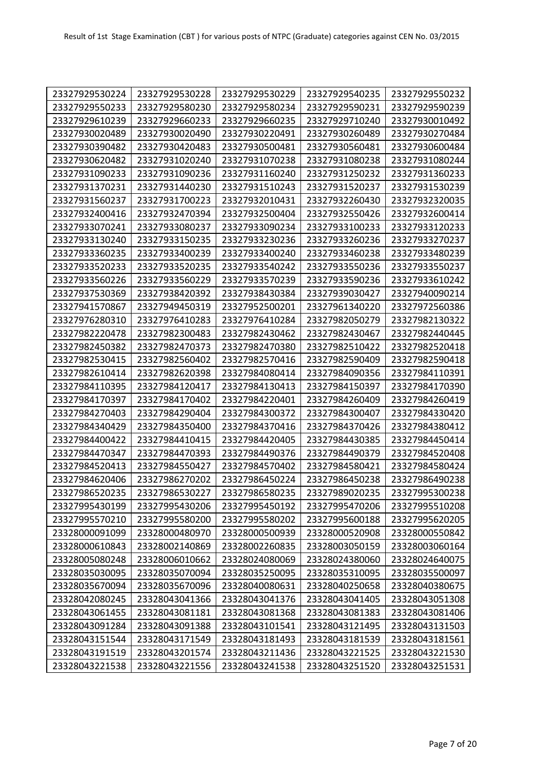| 23327929530224 | 23327929530228 | 23327929530229 | 23327929540235 | 23327929550232 |
|----------------|----------------|----------------|----------------|----------------|
| 23327929550233 | 23327929580230 | 23327929580234 | 23327929590231 | 23327929590239 |
| 23327929610239 | 23327929660233 | 23327929660235 | 23327929710240 | 23327930010492 |
| 23327930020489 | 23327930020490 | 23327930220491 | 23327930260489 | 23327930270484 |
| 23327930390482 | 23327930420483 | 23327930500481 | 23327930560481 | 23327930600484 |
| 23327930620482 | 23327931020240 | 23327931070238 | 23327931080238 | 23327931080244 |
| 23327931090233 | 23327931090236 | 23327931160240 | 23327931250232 | 23327931360233 |
| 23327931370231 | 23327931440230 | 23327931510243 | 23327931520237 | 23327931530239 |
| 23327931560237 | 23327931700223 | 23327932010431 | 23327932260430 | 23327932320035 |
| 23327932400416 | 23327932470394 | 23327932500404 | 23327932550426 | 23327932600414 |
| 23327933070241 | 23327933080237 | 23327933090234 | 23327933100233 | 23327933120233 |
| 23327933130240 | 23327933150235 | 23327933230236 | 23327933260236 | 23327933270237 |
| 23327933360235 | 23327933400239 | 23327933400240 | 23327933460238 | 23327933480239 |
| 23327933520233 | 23327933520235 | 23327933540242 | 23327933550236 | 23327933550237 |
| 23327933560226 | 23327933560229 | 23327933570239 | 23327933590236 | 23327933610242 |
| 23327937530369 | 23327938420392 | 23327938430384 | 23327939030427 | 23327940090214 |
| 23327941570867 | 23327949450319 | 23327952500201 | 23327961340220 | 23327972560386 |
| 23327976280310 | 23327976410283 | 23327976410284 | 23327982050279 | 23327982130322 |
| 23327982220478 | 23327982300483 | 23327982430462 | 23327982430467 | 23327982440445 |
| 23327982450382 | 23327982470373 | 23327982470380 | 23327982510422 | 23327982520418 |
| 23327982530415 | 23327982560402 | 23327982570416 | 23327982590409 | 23327982590418 |
| 23327982610414 | 23327982620398 | 23327984080414 | 23327984090356 | 23327984110391 |
| 23327984110395 | 23327984120417 | 23327984130413 | 23327984150397 | 23327984170390 |
| 23327984170397 | 23327984170402 | 23327984220401 | 23327984260409 | 23327984260419 |
| 23327984270403 | 23327984290404 | 23327984300372 | 23327984300407 | 23327984330420 |
| 23327984340429 | 23327984350400 | 23327984370416 | 23327984370426 | 23327984380412 |
| 23327984400422 | 23327984410415 | 23327984420405 | 23327984430385 | 23327984450414 |
| 23327984470347 | 23327984470393 | 23327984490376 | 23327984490379 | 23327984520408 |
| 23327984520413 | 23327984550427 | 23327984570402 | 23327984580421 | 23327984580424 |
| 23327984620406 | 23327986270202 | 23327986450224 | 23327986450238 | 23327986490238 |
| 23327986520235 | 23327986530227 | 23327986580235 | 23327989020235 | 23327995300238 |
| 23327995430199 | 23327995430206 | 23327995450192 | 23327995470206 | 23327995510208 |
| 23327995570210 | 23327995580200 | 23327995580202 | 23327995600188 | 23327995620205 |
| 23328000091099 | 23328000480970 | 23328000500939 | 23328000520908 | 23328000550842 |
| 23328000610843 | 23328002140869 | 23328002260835 | 23328003050159 | 23328003060164 |
| 23328005080248 | 23328006010662 | 23328024080069 | 23328024380060 | 23328024640075 |
| 23328035030095 | 23328035070094 | 23328035250095 | 23328035310095 | 23328035500097 |
| 23328035670094 | 23328035670096 | 23328040080631 | 23328040250658 | 23328040380675 |
| 23328042080245 | 23328043041366 | 23328043041376 | 23328043041405 | 23328043051308 |
| 23328043061455 | 23328043081181 | 23328043081368 | 23328043081383 | 23328043081406 |
| 23328043091284 | 23328043091388 | 23328043101541 | 23328043121495 | 23328043131503 |
| 23328043151544 | 23328043171549 | 23328043181493 | 23328043181539 | 23328043181561 |
| 23328043191519 | 23328043201574 | 23328043211436 | 23328043221525 | 23328043221530 |
| 23328043221538 | 23328043221556 | 23328043241538 | 23328043251520 | 23328043251531 |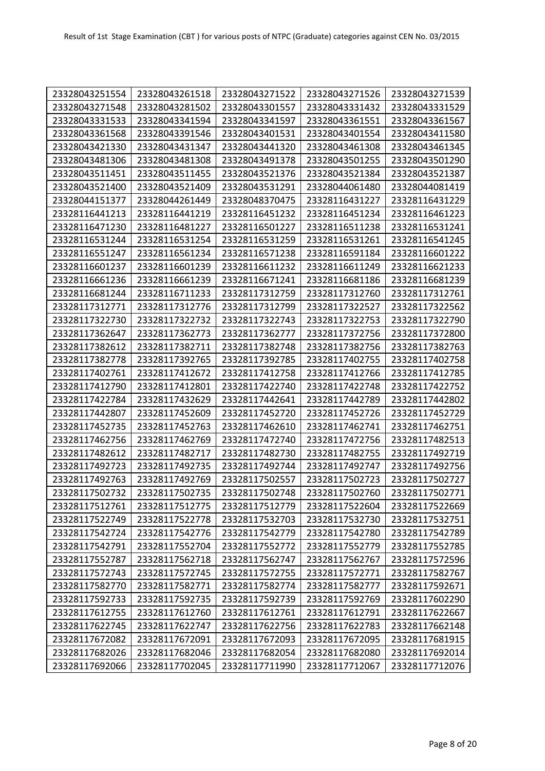| 23328043251554 | 23328043261518 | 23328043271522 | 23328043271526 | 23328043271539 |
|----------------|----------------|----------------|----------------|----------------|
| 23328043271548 | 23328043281502 | 23328043301557 | 23328043331432 | 23328043331529 |
| 23328043331533 | 23328043341594 | 23328043341597 | 23328043361551 | 23328043361567 |
| 23328043361568 | 23328043391546 | 23328043401531 | 23328043401554 | 23328043411580 |
| 23328043421330 | 23328043431347 | 23328043441320 | 23328043461308 | 23328043461345 |
| 23328043481306 | 23328043481308 | 23328043491378 | 23328043501255 | 23328043501290 |
| 23328043511451 | 23328043511455 | 23328043521376 | 23328043521384 | 23328043521387 |
| 23328043521400 | 23328043521409 | 23328043531291 | 23328044061480 | 23328044081419 |
| 23328044151377 | 23328044261449 | 23328048370475 | 23328116431227 | 23328116431229 |
| 23328116441213 | 23328116441219 | 23328116451232 | 23328116451234 | 23328116461223 |
| 23328116471230 | 23328116481227 | 23328116501227 | 23328116511238 | 23328116531241 |
| 23328116531244 | 23328116531254 | 23328116531259 | 23328116531261 | 23328116541245 |
| 23328116551247 | 23328116561234 | 23328116571238 | 23328116591184 | 23328116601222 |
| 23328116601237 | 23328116601239 | 23328116611232 | 23328116611249 | 23328116621233 |
| 23328116661236 | 23328116661239 | 23328116671241 | 23328116681186 | 23328116681239 |
| 23328116681244 | 23328116711233 | 23328117312759 | 23328117312760 | 23328117312761 |
| 23328117312771 | 23328117312776 | 23328117312799 | 23328117322527 | 23328117322562 |
| 23328117322730 | 23328117322732 | 23328117322743 | 23328117322753 | 23328117322790 |
| 23328117362647 | 23328117362773 | 23328117362777 | 23328117372756 | 23328117372800 |
| 23328117382612 | 23328117382711 | 23328117382748 | 23328117382756 | 23328117382763 |
| 23328117382778 | 23328117392765 | 23328117392785 | 23328117402755 | 23328117402758 |
| 23328117402761 | 23328117412672 | 23328117412758 | 23328117412766 | 23328117412785 |
| 23328117412790 | 23328117412801 | 23328117422740 | 23328117422748 | 23328117422752 |
| 23328117422784 | 23328117432629 | 23328117442641 | 23328117442789 | 23328117442802 |
| 23328117442807 | 23328117452609 | 23328117452720 | 23328117452726 | 23328117452729 |
| 23328117452735 | 23328117452763 | 23328117462610 | 23328117462741 | 23328117462751 |
| 23328117462756 | 23328117462769 | 23328117472740 | 23328117472756 | 23328117482513 |
| 23328117482612 | 23328117482717 | 23328117482730 | 23328117482755 | 23328117492719 |
| 23328117492723 | 23328117492735 | 23328117492744 | 23328117492747 | 23328117492756 |
| 23328117492763 | 23328117492769 | 23328117502557 | 23328117502723 | 23328117502727 |
| 23328117502732 | 23328117502735 | 23328117502748 | 23328117502760 | 23328117502771 |
| 23328117512761 | 23328117512775 | 23328117512779 | 23328117522604 | 23328117522669 |
| 23328117522749 | 23328117522778 | 23328117532703 | 23328117532730 | 23328117532751 |
| 23328117542724 | 23328117542776 | 23328117542779 | 23328117542780 | 23328117542789 |
| 23328117542791 | 23328117552704 | 23328117552772 | 23328117552779 | 23328117552785 |
| 23328117552787 | 23328117562718 | 23328117562747 | 23328117562767 | 23328117572596 |
| 23328117572743 | 23328117572745 | 23328117572755 | 23328117572771 | 23328117582767 |
| 23328117582770 | 23328117582771 | 23328117582774 | 23328117582777 | 23328117592671 |
| 23328117592733 | 23328117592735 | 23328117592739 | 23328117592769 | 23328117602290 |
| 23328117612755 | 23328117612760 | 23328117612761 | 23328117612791 | 23328117622667 |
| 23328117622745 | 23328117622747 | 23328117622756 | 23328117622783 | 23328117662148 |
| 23328117672082 | 23328117672091 | 23328117672093 | 23328117672095 | 23328117681915 |
| 23328117682026 | 23328117682046 | 23328117682054 | 23328117682080 | 23328117692014 |
| 23328117692066 | 23328117702045 | 23328117711990 | 23328117712067 | 23328117712076 |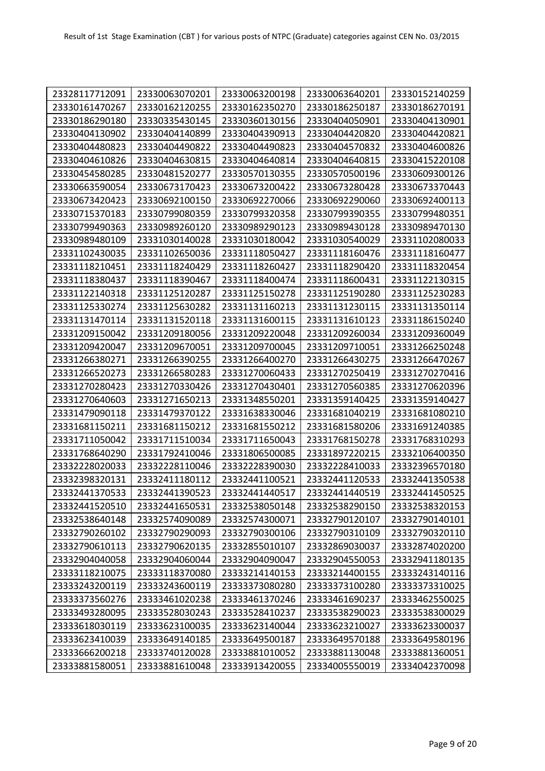| 23328117712091 | 23330063070201 | 23330063200198 | 23330063640201 | 23330152140259 |
|----------------|----------------|----------------|----------------|----------------|
| 23330161470267 | 23330162120255 | 23330162350270 | 23330186250187 | 23330186270191 |
| 23330186290180 | 23330335430145 | 23330360130156 | 23330404050901 | 23330404130901 |
| 23330404130902 | 23330404140899 | 23330404390913 | 23330404420820 | 23330404420821 |
| 23330404480823 | 23330404490822 | 23330404490823 | 23330404570832 | 23330404600826 |
| 23330404610826 | 23330404630815 | 23330404640814 | 23330404640815 | 23330415220108 |
| 23330454580285 | 23330481520277 | 23330570130355 | 23330570500196 | 23330609300126 |
| 23330663590054 | 23330673170423 | 23330673200422 | 23330673280428 | 23330673370443 |
| 23330673420423 | 23330692100150 | 23330692270066 | 23330692290060 | 23330692400113 |
| 23330715370183 | 23330799080359 | 23330799320358 | 23330799390355 | 23330799480351 |
| 23330799490363 | 23330989260120 | 23330989290123 | 23330989430128 | 23330989470130 |
| 23330989480109 | 23331030140028 | 23331030180042 | 23331030540029 | 23331102080033 |
| 23331102430035 | 23331102650036 | 23331118050427 | 23331118160476 | 23331118160477 |
| 23331118210451 | 23331118240429 | 23331118260427 | 23331118290420 | 23331118320454 |
| 23331118380437 | 23331118390467 | 23331118400474 | 23331118600431 | 23331122130315 |
| 23331122140318 | 23331125120287 | 23331125150278 | 23331125190280 | 23331125230283 |
| 23331125330274 | 23331125630282 | 23331131160213 | 23331131230115 | 23331131350114 |
| 23331131470114 | 23331131520118 | 23331131600115 | 23331131610123 | 23331186150240 |
| 23331209150042 | 23331209180056 | 23331209220048 | 23331209260034 | 23331209360049 |
| 23331209420047 | 23331209670051 | 23331209700045 | 23331209710051 | 23331266250248 |
| 23331266380271 | 23331266390255 | 23331266400270 | 23331266430275 | 23331266470267 |
| 23331266520273 | 23331266580283 | 23331270060433 | 23331270250419 | 23331270270416 |
| 23331270280423 | 23331270330426 | 23331270430401 | 23331270560385 | 23331270620396 |
| 23331270640603 | 23331271650213 | 23331348550201 | 23331359140425 | 23331359140427 |
| 23331479090118 | 23331479370122 | 23331638330046 | 23331681040219 | 23331681080210 |
| 23331681150211 | 23331681150212 | 23331681550212 | 23331681580206 | 23331691240385 |
| 23331711050042 | 23331711510034 | 23331711650043 | 23331768150278 | 23331768310293 |
| 23331768640290 | 23331792410046 | 23331806500085 | 23331897220215 | 23332106400350 |
| 23332228020033 | 23332228110046 | 23332228390030 | 23332228410033 | 23332396570180 |
| 23332398320131 | 23332411180112 | 23332441100521 | 23332441120533 | 23332441350538 |
| 23332441370533 | 23332441390523 | 23332441440517 | 23332441440519 | 23332441450525 |
| 23332441520510 | 23332441650531 | 23332538050148 | 23332538290150 | 23332538320153 |
| 23332538640148 | 23332574090089 | 23332574300071 | 23332790120107 | 23332790140101 |
| 23332790260102 | 23332790290093 | 23332790300106 | 23332790310109 | 23332790320110 |
| 23332790610113 | 23332790620135 | 23332855010107 | 23332869030037 | 23332874020200 |
| 23332904040058 | 23332904060044 | 23332904090047 | 23332904550053 | 23332941180135 |
| 23333118210075 | 23333118370080 | 23333214140153 | 23333214400155 | 23333243140116 |
| 23333243200119 | 23333243600119 | 23333373080280 | 23333373100280 | 23333373310025 |
| 23333373560276 | 23333461020238 | 23333461370246 | 23333461690237 | 23333462550025 |
| 23333493280095 | 23333528030243 | 23333528410237 | 23333538290023 | 23333538300029 |
| 23333618030119 | 23333623100035 | 23333623140044 | 23333623210027 | 23333623300037 |
| 23333623410039 | 23333649140185 | 23333649500187 | 23333649570188 | 23333649580196 |
| 23333666200218 | 23333740120028 | 23333881010052 | 23333881130048 | 23333881360051 |
| 23333881580051 | 23333881610048 | 23333913420055 | 23334005550019 | 23334042370098 |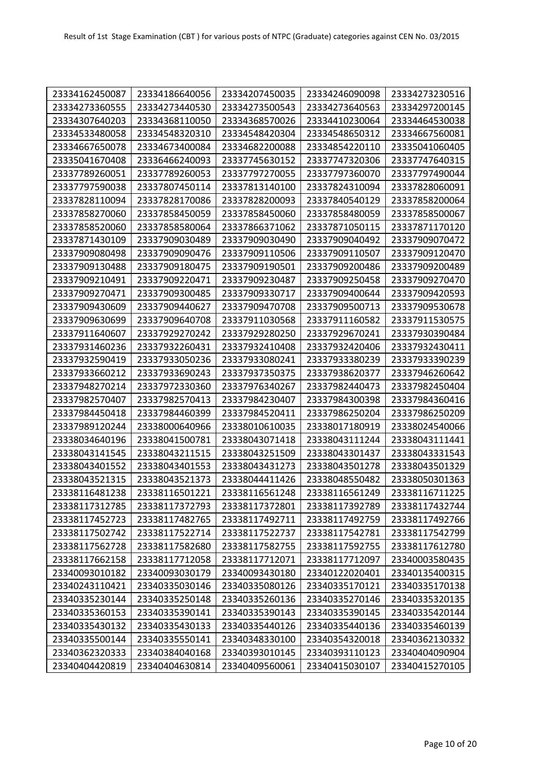| 23334162450087 | 23334186640056 | 23334207450035 | 23334246090098 | 23334273230516 |
|----------------|----------------|----------------|----------------|----------------|
| 23334273360555 | 23334273440530 | 23334273500543 | 23334273640563 | 23334297200145 |
| 23334307640203 | 23334368110050 | 23334368570026 | 23334410230064 | 23334464530038 |
| 23334533480058 | 23334548320310 | 23334548420304 | 23334548650312 | 23334667560081 |
| 23334667650078 | 23334673400084 | 23334682200088 | 23334854220110 | 23335041060405 |
| 23335041670408 | 23336466240093 | 23337745630152 | 23337747320306 | 23337747640315 |
| 23337789260051 | 23337789260053 | 23337797270055 | 23337797360070 | 23337797490044 |
| 23337797590038 | 23337807450114 | 23337813140100 | 23337824310094 | 23337828060091 |
| 23337828110094 | 23337828170086 | 23337828200093 | 23337840540129 | 23337858200064 |
| 23337858270060 | 23337858450059 | 23337858450060 | 23337858480059 | 23337858500067 |
| 23337858520060 | 23337858580064 | 23337866371062 | 23337871050115 | 23337871170120 |
| 23337871430109 | 23337909030489 | 23337909030490 | 23337909040492 | 23337909070472 |
| 23337909080498 | 23337909090476 | 23337909110506 | 23337909110507 | 23337909120470 |
| 23337909130488 | 23337909180475 | 23337909190501 | 23337909200486 | 23337909200489 |
| 23337909210491 | 23337909220471 | 23337909230487 | 23337909250458 | 23337909270470 |
| 23337909270471 | 23337909300485 | 23337909330717 | 23337909400644 | 23337909420593 |
| 23337909430609 | 23337909440627 | 23337909470708 | 23337909500713 | 23337909530678 |
| 23337909630699 | 23337909640708 | 23337911030568 | 23337911160582 | 23337911530575 |
| 23337911640607 | 23337929270242 | 23337929280250 | 23337929670241 | 23337930390484 |
| 23337931460236 | 23337932260431 | 23337932410408 | 23337932420406 | 23337932430411 |
| 23337932590419 | 23337933050236 | 23337933080241 | 23337933380239 | 23337933390239 |
| 23337933660212 | 23337933690243 | 23337937350375 | 23337938620377 | 23337946260642 |
| 23337948270214 | 23337972330360 | 23337976340267 | 23337982440473 | 23337982450404 |
| 23337982570407 | 23337982570413 | 23337984230407 | 23337984300398 | 23337984360416 |
| 23337984450418 | 23337984460399 | 23337984520411 | 23337986250204 | 23337986250209 |
| 23337989120244 | 23338000640966 | 23338010610035 | 23338017180919 | 23338024540066 |
| 23338034640196 | 23338041500781 | 23338043071418 | 23338043111244 | 23338043111441 |
| 23338043141545 | 23338043211515 | 23338043251509 | 23338043301437 | 23338043331543 |
| 23338043401552 | 23338043401553 | 23338043431273 | 23338043501278 | 23338043501329 |
| 23338043521315 | 23338043521373 | 23338044411426 | 23338048550482 | 23338050301363 |
| 23338116481238 | 23338116501221 | 23338116561248 | 23338116561249 | 23338116711225 |
| 23338117312785 | 23338117372793 | 23338117372801 | 23338117392789 | 23338117432744 |
| 23338117452723 | 23338117482765 | 23338117492711 | 23338117492759 | 23338117492766 |
| 23338117502742 | 23338117522714 | 23338117522737 | 23338117542781 | 23338117542799 |
| 23338117562728 | 23338117582680 | 23338117582755 | 23338117592755 | 23338117612780 |
| 23338117662158 | 23338117712058 | 23338117712071 | 23338117712097 | 23340003580435 |
| 23340093010182 | 23340093030179 | 23340093430180 | 23340122020401 | 23340135400315 |
| 23340243110421 | 23340335030146 | 23340335080126 | 23340335170121 | 23340335170138 |
| 23340335230144 | 23340335250148 | 23340335260136 | 23340335270146 | 23340335320135 |
| 23340335360153 | 23340335390141 | 23340335390143 | 23340335390145 | 23340335420144 |
| 23340335430132 | 23340335430133 | 23340335440126 | 23340335440136 | 23340335460139 |
| 23340335500144 | 23340335550141 | 23340348330100 | 23340354320018 | 23340362130332 |
| 23340362320333 | 23340384040168 | 23340393010145 | 23340393110123 | 23340404090904 |
| 23340404420819 | 23340404630814 | 23340409560061 | 23340415030107 | 23340415270105 |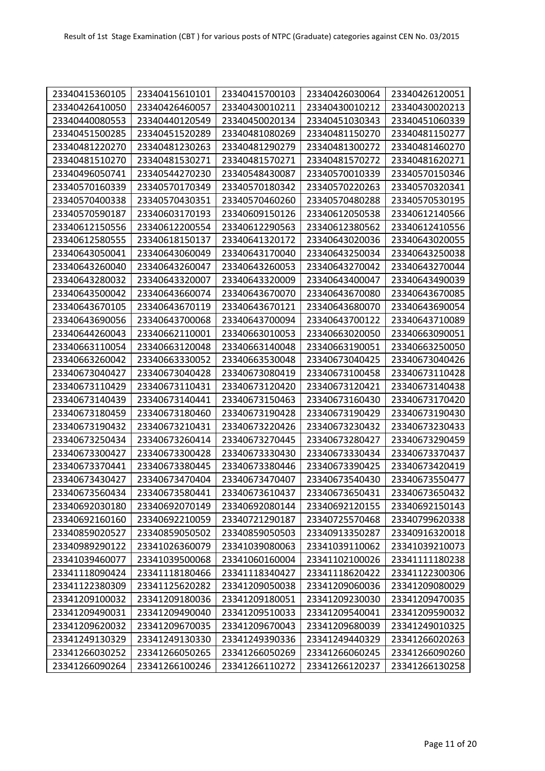| 23340415360105 | 23340415610101 | 23340415700103 | 23340426030064 | 23340426120051 |
|----------------|----------------|----------------|----------------|----------------|
| 23340426410050 | 23340426460057 | 23340430010211 | 23340430010212 | 23340430020213 |
| 23340440080553 | 23340440120549 | 23340450020134 | 23340451030343 | 23340451060339 |
| 23340451500285 | 23340451520289 | 23340481080269 | 23340481150270 | 23340481150277 |
| 23340481220270 | 23340481230263 | 23340481290279 | 23340481300272 | 23340481460270 |
| 23340481510270 | 23340481530271 | 23340481570271 | 23340481570272 | 23340481620271 |
| 23340496050741 | 23340544270230 | 23340548430087 | 23340570010339 | 23340570150346 |
| 23340570160339 | 23340570170349 | 23340570180342 | 23340570220263 | 23340570320341 |
| 23340570400338 | 23340570430351 | 23340570460260 | 23340570480288 | 23340570530195 |
| 23340570590187 | 23340603170193 | 23340609150126 | 23340612050538 | 23340612140566 |
| 23340612150556 | 23340612200554 | 23340612290563 | 23340612380562 | 23340612410556 |
| 23340612580555 | 23340618150137 | 23340641320172 | 23340643020036 | 23340643020055 |
| 23340643050041 | 23340643060049 | 23340643170040 | 23340643250034 | 23340643250038 |
| 23340643260040 | 23340643260047 | 23340643260053 | 23340643270042 | 23340643270044 |
| 23340643280032 | 23340643320007 | 23340643320009 | 23340643400047 | 23340643490039 |
| 23340643500042 | 23340643660074 | 23340643670070 | 23340643670080 | 23340643670085 |
| 23340643670105 | 23340643670119 | 23340643670121 | 23340643680070 | 23340643690054 |
| 23340643690056 | 23340643700068 | 23340643700094 | 23340643700122 | 23340643710089 |
| 23340644260043 | 23340662110001 | 23340663010053 | 23340663020050 | 23340663090051 |
| 23340663110054 | 23340663120048 | 23340663140048 | 23340663190051 | 23340663250050 |
| 23340663260042 | 23340663330052 | 23340663530048 | 23340673040425 | 23340673040426 |
| 23340673040427 | 23340673040428 | 23340673080419 | 23340673100458 | 23340673110428 |
| 23340673110429 | 23340673110431 | 23340673120420 | 23340673120421 | 23340673140438 |
| 23340673140439 | 23340673140441 | 23340673150463 | 23340673160430 | 23340673170420 |
| 23340673180459 | 23340673180460 | 23340673190428 | 23340673190429 | 23340673190430 |
| 23340673190432 | 23340673210431 | 23340673220426 | 23340673230432 | 23340673230433 |
| 23340673250434 | 23340673260414 | 23340673270445 | 23340673280427 | 23340673290459 |
| 23340673300427 | 23340673300428 | 23340673330430 | 23340673330434 | 23340673370437 |
| 23340673370441 | 23340673380445 | 23340673380446 | 23340673390425 | 23340673420419 |
| 23340673430427 | 23340673470404 | 23340673470407 | 23340673540430 | 23340673550477 |
| 23340673560434 | 23340673580441 | 23340673610437 | 23340673650431 | 23340673650432 |
| 23340692030180 | 23340692070149 | 23340692080144 | 23340692120155 | 23340692150143 |
| 23340692160160 | 23340692210059 | 23340721290187 | 23340725570468 | 23340799620338 |
| 23340859020527 | 23340859050502 | 23340859050503 | 23340913350287 | 23340916320018 |
| 23340989290122 | 23341026360079 | 23341039080063 | 23341039110062 | 23341039210073 |
| 23341039460077 | 23341039500068 | 23341060160004 | 23341102100026 | 23341111180238 |
| 23341118090424 | 23341118180466 | 23341118340427 | 23341118620422 | 23341122300306 |
| 23341122380309 | 23341125620282 | 23341209050038 | 23341209060036 | 23341209080029 |
| 23341209100032 | 23341209180036 | 23341209180051 | 23341209230030 | 23341209470035 |
| 23341209490031 | 23341209490040 | 23341209510033 | 23341209540041 | 23341209590032 |
| 23341209620032 | 23341209670035 | 23341209670043 | 23341209680039 | 23341249010325 |
| 23341249130329 | 23341249130330 | 23341249390336 | 23341249440329 | 23341266020263 |
| 23341266030252 | 23341266050265 | 23341266050269 | 23341266060245 | 23341266090260 |
| 23341266090264 | 23341266100246 | 23341266110272 | 23341266120237 | 23341266130258 |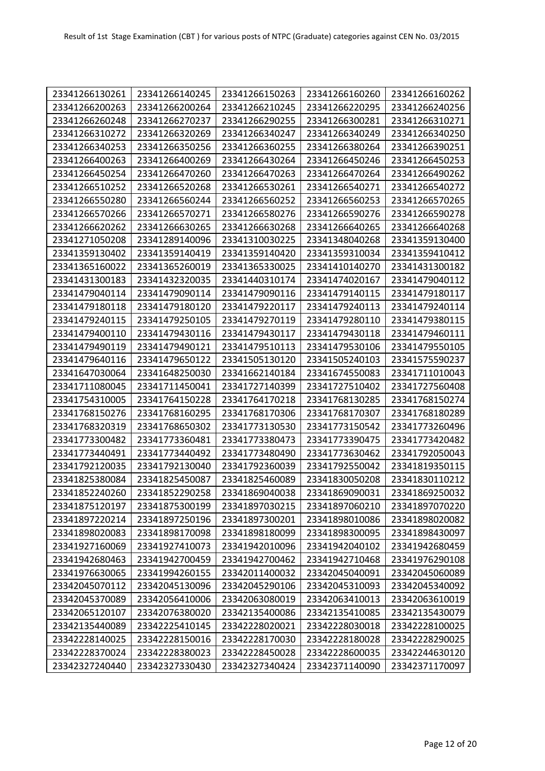| 23341266130261 | 23341266140245 | 23341266150263 | 23341266160260 | 23341266160262 |
|----------------|----------------|----------------|----------------|----------------|
| 23341266200263 | 23341266200264 | 23341266210245 | 23341266220295 | 23341266240256 |
| 23341266260248 | 23341266270237 | 23341266290255 | 23341266300281 | 23341266310271 |
| 23341266310272 | 23341266320269 | 23341266340247 | 23341266340249 | 23341266340250 |
| 23341266340253 | 23341266350256 | 23341266360255 | 23341266380264 | 23341266390251 |
| 23341266400263 | 23341266400269 | 23341266430264 | 23341266450246 | 23341266450253 |
| 23341266450254 | 23341266470260 | 23341266470263 | 23341266470264 | 23341266490262 |
| 23341266510252 | 23341266520268 | 23341266530261 | 23341266540271 | 23341266540272 |
| 23341266550280 | 23341266560244 | 23341266560252 | 23341266560253 | 23341266570265 |
| 23341266570266 | 23341266570271 | 23341266580276 | 23341266590276 | 23341266590278 |
| 23341266620262 | 23341266630265 | 23341266630268 | 23341266640265 | 23341266640268 |
| 23341271050208 | 23341289140096 | 23341310030225 | 23341348040268 | 23341359130400 |
| 23341359130402 | 23341359140419 | 23341359140420 | 23341359310034 | 23341359410412 |
| 23341365160022 | 23341365260019 | 23341365330025 | 23341410140270 | 23341431300182 |
| 23341431300183 | 23341432320035 | 23341440310174 | 23341474020167 | 23341479040112 |
| 23341479040114 | 23341479090114 | 23341479090116 | 23341479140115 | 23341479180117 |
| 23341479180118 | 23341479180120 | 23341479220117 | 23341479240113 | 23341479240114 |
| 23341479240115 | 23341479250105 | 23341479270119 | 23341479280110 | 23341479380115 |
| 23341479400110 | 23341479430116 | 23341479430117 | 23341479430118 | 23341479460111 |
| 23341479490119 | 23341479490121 | 23341479510113 | 23341479530106 | 23341479550105 |
| 23341479640116 | 23341479650122 | 23341505130120 | 23341505240103 | 23341575590237 |
| 23341647030064 | 23341648250030 | 23341662140184 | 23341674550083 | 23341711010043 |
| 23341711080045 | 23341711450041 | 23341727140399 | 23341727510402 | 23341727560408 |
| 23341754310005 | 23341764150228 | 23341764170218 | 23341768130285 | 23341768150274 |
| 23341768150276 | 23341768160295 | 23341768170306 | 23341768170307 | 23341768180289 |
| 23341768320319 | 23341768650302 | 23341773130530 | 23341773150542 | 23341773260496 |
| 23341773300482 | 23341773360481 | 23341773380473 | 23341773390475 | 23341773420482 |
| 23341773440491 | 23341773440492 | 23341773480490 | 23341773630462 | 23341792050043 |
| 23341792120035 | 23341792130040 | 23341792360039 | 23341792550042 | 23341819350115 |
| 23341825380084 | 23341825450087 | 23341825460089 | 23341830050208 | 23341830110212 |
| 23341852240260 | 23341852290258 | 23341869040038 | 23341869090031 | 23341869250032 |
| 23341875120197 | 23341875300199 | 23341897030215 | 23341897060210 | 23341897070220 |
| 23341897220214 | 23341897250196 | 23341897300201 | 23341898010086 | 23341898020082 |
| 23341898020083 | 23341898170098 | 23341898180099 | 23341898300095 | 23341898430097 |
| 23341927160069 | 23341927410073 | 23341942010096 | 23341942040102 | 23341942680459 |
| 23341942680463 | 23341942700459 | 23341942700462 | 23341942710468 | 23341976290108 |
| 23341976630065 | 23341994260155 | 23342011400032 | 23342045040091 | 23342045060089 |
| 23342045070112 | 23342045130096 | 23342045290106 | 23342045310093 | 23342045340092 |
| 23342045370089 | 23342056410006 | 23342063080019 | 23342063410013 | 23342063610019 |
| 23342065120107 | 23342076380020 | 23342135400086 | 23342135410085 | 23342135430079 |
| 23342135440089 | 23342225410145 | 23342228020021 | 23342228030018 | 23342228100025 |
| 23342228140025 | 23342228150016 | 23342228170030 | 23342228180028 | 23342228290025 |
| 23342228370024 | 23342228380023 | 23342228450028 | 23342228600035 | 23342244630120 |
| 23342327240440 | 23342327330430 | 23342327340424 | 23342371140090 | 23342371170097 |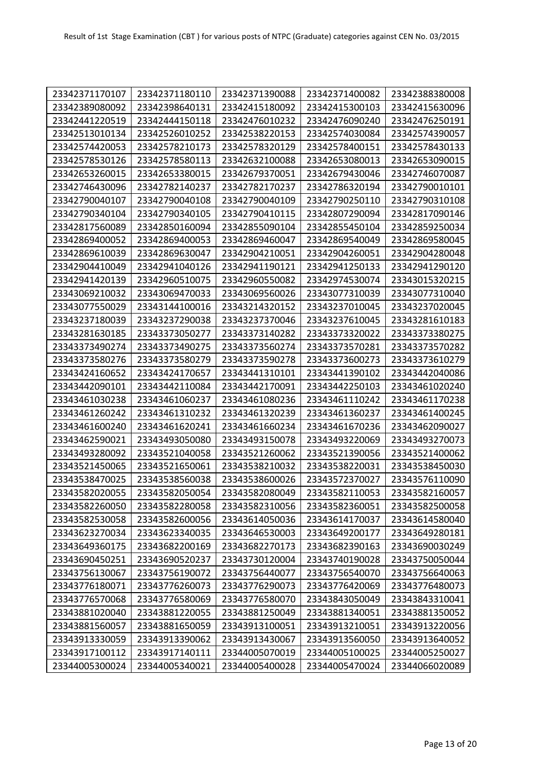| 23342371170107 | 23342371180110 | 23342371390088 | 23342371400082 | 23342388380008 |
|----------------|----------------|----------------|----------------|----------------|
| 23342389080092 | 23342398640131 | 23342415180092 | 23342415300103 | 23342415630096 |
| 23342441220519 | 23342444150118 | 23342476010232 | 23342476090240 | 23342476250191 |
| 23342513010134 | 23342526010252 | 23342538220153 | 23342574030084 | 23342574390057 |
| 23342574420053 | 23342578210173 | 23342578320129 | 23342578400151 | 23342578430133 |
| 23342578530126 | 23342578580113 | 23342632100088 | 23342653080013 | 23342653090015 |
| 23342653260015 | 23342653380015 | 23342679370051 | 23342679430046 | 23342746070087 |
| 23342746430096 | 23342782140237 | 23342782170237 | 23342786320194 | 23342790010101 |
| 23342790040107 | 23342790040108 | 23342790040109 | 23342790250110 | 23342790310108 |
| 23342790340104 | 23342790340105 | 23342790410115 | 23342807290094 | 23342817090146 |
| 23342817560089 | 23342850160094 | 23342855090104 | 23342855450104 | 23342859250034 |
| 23342869400052 | 23342869400053 | 23342869460047 | 23342869540049 | 23342869580045 |
| 23342869610039 | 23342869630047 | 23342904210051 | 23342904260051 | 23342904280048 |
| 23342904410049 | 23342941040126 | 23342941190121 | 23342941250133 | 23342941290120 |
| 23342941420139 | 23342960510075 | 23342960550082 | 23342974530074 | 23343015320215 |
| 23343069210032 | 23343069470033 | 23343069560026 | 23343077310039 | 23343077310040 |
| 23343077550029 | 23343144100016 | 23343214320152 | 23343237010045 | 23343237020045 |
| 23343237180039 | 23343237290038 | 23343237370046 | 23343237610045 | 23343281610183 |
| 23343281630185 | 23343373050277 | 23343373140282 | 23343373320022 | 23343373380275 |
| 23343373490274 | 23343373490275 | 23343373560274 | 23343373570281 | 23343373570282 |
| 23343373580276 | 23343373580279 | 23343373590278 | 23343373600273 | 23343373610279 |
| 23343424160652 | 23343424170657 | 23343441310101 | 23343441390102 | 23343442040086 |
| 23343442090101 | 23343442110084 | 23343442170091 | 23343442250103 | 23343461020240 |
| 23343461030238 | 23343461060237 | 23343461080236 | 23343461110242 | 23343461170238 |
| 23343461260242 | 23343461310232 | 23343461320239 | 23343461360237 | 23343461400245 |
| 23343461600240 | 23343461620241 | 23343461660234 | 23343461670236 | 23343462090027 |
| 23343462590021 | 23343493050080 | 23343493150078 | 23343493220069 | 23343493270073 |
| 23343493280092 | 23343521040058 | 23343521260062 | 23343521390056 | 23343521400062 |
| 23343521450065 | 23343521650061 | 23343538210032 | 23343538220031 | 23343538450030 |
| 23343538470025 | 23343538560038 | 23343538600026 | 23343572370027 | 23343576110090 |
| 23343582020055 | 23343582050054 | 23343582080049 | 23343582110053 | 23343582160057 |
| 23343582260050 | 23343582280058 | 23343582310056 | 23343582360051 | 23343582500058 |
| 23343582530058 | 23343582600056 | 23343614050036 | 23343614170037 | 23343614580040 |
| 23343623270034 | 23343623340035 | 23343646530003 | 23343649200177 | 23343649280181 |
| 23343649360175 | 23343682200169 | 23343682270173 | 23343682390163 | 23343690030249 |
| 23343690450251 | 23343690520237 | 23343730120004 | 23343740190028 | 23343750050044 |
| 23343756130067 | 23343756190072 | 23343756440077 | 23343756540070 | 23343756640063 |
| 23343776180071 | 23343776260073 | 23343776290073 | 23343776420069 | 23343776480073 |
| 23343776570068 | 23343776580069 | 23343776580070 | 23343843050049 | 23343843310041 |
| 23343881020040 | 23343881220055 | 23343881250049 | 23343881340051 | 23343881350052 |
| 23343881560057 | 23343881650059 | 23343913100051 | 23343913210051 | 23343913220056 |
| 23343913330059 | 23343913390062 | 23343913430067 | 23343913560050 | 23343913640052 |
| 23343917100112 | 23343917140111 | 23344005070019 | 23344005100025 | 23344005250027 |
| 23344005300024 | 23344005340021 | 23344005400028 | 23344005470024 | 23344066020089 |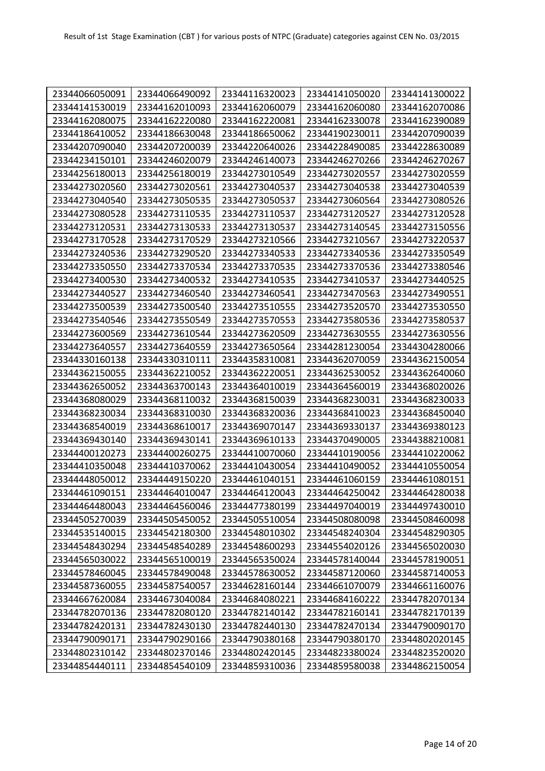| 23344066050091 | 23344066490092 | 23344116320023 | 23344141050020 | 23344141300022 |
|----------------|----------------|----------------|----------------|----------------|
| 23344141530019 | 23344162010093 | 23344162060079 | 23344162060080 | 23344162070086 |
| 23344162080075 | 23344162220080 | 23344162220081 | 23344162330078 | 23344162390089 |
| 23344186410052 | 23344186630048 | 23344186650062 | 23344190230011 | 23344207090039 |
| 23344207090040 | 23344207200039 | 23344220640026 | 23344228490085 | 23344228630089 |
| 23344234150101 | 23344246020079 | 23344246140073 | 23344246270266 | 23344246270267 |
| 23344256180013 | 23344256180019 | 23344273010549 | 23344273020557 | 23344273020559 |
| 23344273020560 | 23344273020561 | 23344273040537 | 23344273040538 | 23344273040539 |
| 23344273040540 | 23344273050535 | 23344273050537 | 23344273060564 | 23344273080526 |
| 23344273080528 | 23344273110535 | 23344273110537 | 23344273120527 | 23344273120528 |
| 23344273120531 | 23344273130533 | 23344273130537 | 23344273140545 | 23344273150556 |
| 23344273170528 | 23344273170529 | 23344273210566 | 23344273210567 | 23344273220537 |
| 23344273240536 | 23344273290520 | 23344273340533 | 23344273340536 | 23344273350549 |
| 23344273350550 | 23344273370534 | 23344273370535 | 23344273370536 | 23344273380546 |
| 23344273400530 | 23344273400532 | 23344273410535 | 23344273410537 | 23344273440525 |
| 23344273440527 | 23344273460540 | 23344273460541 | 23344273470563 | 23344273490551 |
| 23344273500539 | 23344273500540 | 23344273510555 | 23344273520570 | 23344273530550 |
| 23344273540546 | 23344273550549 | 23344273570553 | 23344273580536 | 23344273580537 |
| 23344273600569 | 23344273610544 | 23344273620509 | 23344273630555 | 23344273630556 |
| 23344273640557 | 23344273640559 | 23344273650564 | 23344281230054 | 23344304280066 |
| 23344330160138 | 23344330310111 | 23344358310081 | 23344362070059 | 23344362150054 |
| 23344362150055 | 23344362210052 | 23344362220051 | 23344362530052 | 23344362640060 |
| 23344362650052 | 23344363700143 | 23344364010019 | 23344364560019 | 23344368020026 |
| 23344368080029 | 23344368110032 | 23344368150039 | 23344368230031 | 23344368230033 |
| 23344368230034 | 23344368310030 | 23344368320036 | 23344368410023 | 23344368450040 |
| 23344368540019 | 23344368610017 | 23344369070147 | 23344369330137 | 23344369380123 |
| 23344369430140 | 23344369430141 | 23344369610133 | 23344370490005 | 23344388210081 |
| 23344400120273 | 23344400260275 | 23344410070060 | 23344410190056 | 23344410220062 |
| 23344410350048 | 23344410370062 | 23344410430054 | 23344410490052 | 23344410550054 |
| 23344448050012 | 23344449150220 | 23344461040151 | 23344461060159 | 23344461080151 |
| 23344461090151 | 23344464010047 | 23344464120043 | 23344464250042 | 23344464280038 |
| 23344464480043 | 23344464560046 | 23344477380199 | 23344497040019 | 23344497430010 |
| 23344505270039 | 23344505450052 | 23344505510054 | 23344508080098 | 23344508460098 |
| 23344535140015 | 23344542180300 | 23344548010302 | 23344548240304 | 23344548290305 |
| 23344548430294 | 23344548540289 | 23344548600293 | 23344554020126 | 23344565020030 |
| 23344565030022 | 23344565100019 | 23344565350024 | 23344578140044 | 23344578190051 |
| 23344578460045 | 23344578490048 | 23344578630052 | 23344587120060 | 23344587140053 |
| 23344587360055 | 23344587540057 | 23344628160144 | 23344661070079 | 23344661160076 |
| 23344667620084 | 23344673040084 | 23344684080221 | 23344684160222 | 23344782070134 |
| 23344782070136 | 23344782080120 | 23344782140142 | 23344782160141 | 23344782170139 |
| 23344782420131 | 23344782430130 | 23344782440130 | 23344782470134 | 23344790090170 |
| 23344790090171 | 23344790290166 | 23344790380168 | 23344790380170 | 23344802020145 |
| 23344802310142 | 23344802370146 | 23344802420145 | 23344823380024 | 23344823520020 |
| 23344854440111 | 23344854540109 | 23344859310036 | 23344859580038 | 23344862150054 |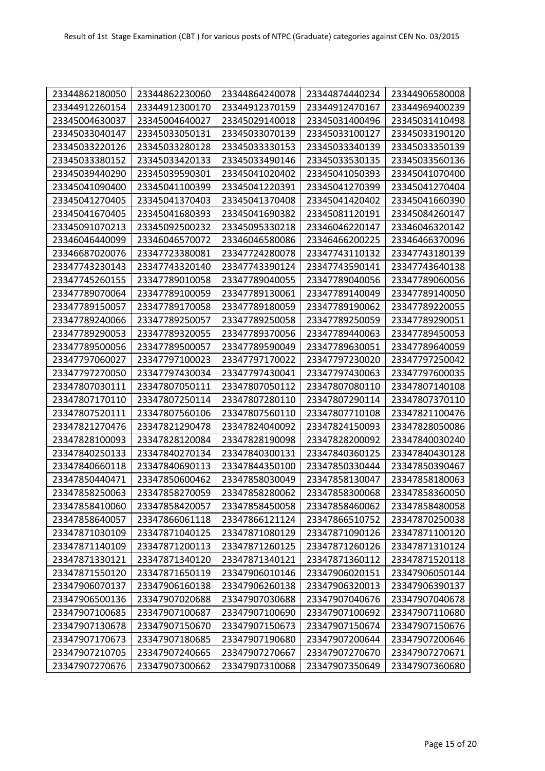| 23344862180050 | 23344862230060 | 23344864240078 | 23344874440234 | 23344906580008 |
|----------------|----------------|----------------|----------------|----------------|
| 23344912260154 | 23344912300170 | 23344912370159 | 23344912470167 | 23344969400239 |
| 23345004630037 | 23345004640027 | 23345029140018 | 23345031400496 | 23345031410498 |
| 23345033040147 | 23345033050131 | 23345033070139 | 23345033100127 | 23345033190120 |
| 23345033220126 | 23345033280128 | 23345033330153 | 23345033340139 | 23345033350139 |
| 23345033380152 | 23345033420133 | 23345033490146 | 23345033530135 | 23345033560136 |
| 23345039440290 | 23345039590301 | 23345041020402 | 23345041050393 | 23345041070400 |
| 23345041090400 | 23345041100399 | 23345041220391 | 23345041270399 | 23345041270404 |
| 23345041270405 | 23345041370403 | 23345041370408 | 23345041420402 | 23345041660390 |
| 23345041670405 | 23345041680393 | 23345041690382 | 23345081120191 | 23345084260147 |
| 23345091070213 | 23345092500232 | 23345095330218 | 23346046220147 | 23346046320142 |
| 23346046440099 | 23346046570072 | 23346046580086 | 23346466200225 | 23346466370096 |
| 23346687020076 | 23347723380081 | 23347724280078 | 23347743110132 | 23347743180139 |
| 23347743230143 | 23347743320140 | 23347743390124 | 23347743590141 | 23347743640138 |
| 23347745260155 | 23347789010058 | 23347789040055 | 23347789040056 | 23347789060056 |
| 23347789070064 | 23347789100059 | 23347789130061 | 23347789140049 | 23347789140050 |
| 23347789150057 | 23347789170058 | 23347789180059 | 23347789190062 | 23347789220055 |
| 23347789240066 | 23347789250057 | 23347789250058 | 23347789250059 | 23347789290051 |
| 23347789290053 | 23347789320055 | 23347789370056 | 23347789440063 | 23347789450053 |
| 23347789500056 | 23347789500057 | 23347789590049 | 23347789630051 | 23347789640059 |
| 23347797060027 | 23347797100023 | 23347797170022 | 23347797230020 | 23347797250042 |
| 23347797270050 | 23347797430034 | 23347797430041 | 23347797430063 | 23347797600035 |
| 23347807030111 | 23347807050111 | 23347807050112 | 23347807080110 | 23347807140108 |
| 23347807170110 | 23347807250114 | 23347807280110 | 23347807290114 | 23347807370110 |
| 23347807520111 | 23347807560106 | 23347807560110 | 23347807710108 | 23347821100476 |
| 23347821270476 | 23347821290478 | 23347824040092 | 23347824150093 | 23347828050086 |
| 23347828100093 | 23347828120084 | 23347828190098 | 23347828200092 | 23347840030240 |
| 23347840250133 | 23347840270134 | 23347840300131 | 23347840360125 | 23347840430128 |
| 23347840660118 | 23347840690113 | 23347844350100 | 23347850330444 | 23347850390467 |
| 23347850440471 | 23347850600462 | 23347858030049 | 23347858130047 | 23347858180063 |
| 23347858250063 | 23347858270059 | 23347858280062 | 23347858300068 | 23347858360050 |
| 23347858410060 | 23347858420057 | 23347858450058 | 23347858460062 | 23347858480058 |
| 23347858640057 | 23347866061118 | 23347866121124 | 23347866510752 | 23347870250038 |
| 23347871030109 | 23347871040125 | 23347871080129 | 23347871090126 | 23347871100120 |
| 23347871140109 | 23347871200113 | 23347871260125 | 23347871260126 | 23347871310124 |
| 23347871330121 | 23347871340120 | 23347871340121 | 23347871360112 | 23347871520118 |
| 23347871550120 | 23347871650119 | 23347906010146 | 23347906020151 | 23347906050144 |
| 23347906070137 | 23347906160138 | 23347906260138 | 23347906320013 | 23347906390137 |
| 23347906500136 | 23347907020688 | 23347907030688 | 23347907040676 | 23347907040678 |
| 23347907100685 | 23347907100687 | 23347907100690 | 23347907100692 | 23347907110680 |
| 23347907130678 | 23347907150670 | 23347907150673 | 23347907150674 | 23347907150676 |
| 23347907170673 | 23347907180685 | 23347907190680 | 23347907200644 | 23347907200646 |
| 23347907210705 | 23347907240665 | 23347907270667 | 23347907270670 | 23347907270671 |
| 23347907270676 | 23347907300662 | 23347907310068 | 23347907350649 | 23347907360680 |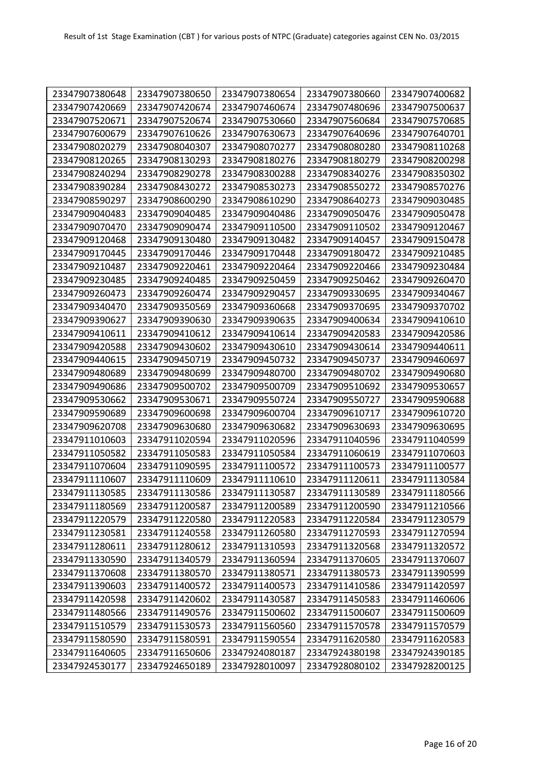| 23347907380648 | 23347907380650 | 23347907380654 | 23347907380660 | 23347907400682 |
|----------------|----------------|----------------|----------------|----------------|
| 23347907420669 | 23347907420674 | 23347907460674 | 23347907480696 | 23347907500637 |
| 23347907520671 | 23347907520674 | 23347907530660 | 23347907560684 | 23347907570685 |
| 23347907600679 | 23347907610626 | 23347907630673 | 23347907640696 | 23347907640701 |
| 23347908020279 | 23347908040307 | 23347908070277 | 23347908080280 | 23347908110268 |
| 23347908120265 | 23347908130293 | 23347908180276 | 23347908180279 | 23347908200298 |
| 23347908240294 | 23347908290278 | 23347908300288 | 23347908340276 | 23347908350302 |
| 23347908390284 | 23347908430272 | 23347908530273 | 23347908550272 | 23347908570276 |
| 23347908590297 | 23347908600290 | 23347908610290 | 23347908640273 | 23347909030485 |
| 23347909040483 | 23347909040485 | 23347909040486 | 23347909050476 | 23347909050478 |
| 23347909070470 | 23347909090474 | 23347909110500 | 23347909110502 | 23347909120467 |
| 23347909120468 | 23347909130480 | 23347909130482 | 23347909140457 | 23347909150478 |
| 23347909170445 | 23347909170446 | 23347909170448 | 23347909180472 | 23347909210485 |
| 23347909210487 | 23347909220461 | 23347909220464 | 23347909220466 | 23347909230484 |
| 23347909230485 | 23347909240485 | 23347909250459 | 23347909250462 | 23347909260470 |
| 23347909260473 | 23347909260474 | 23347909290457 | 23347909330695 | 23347909340467 |
| 23347909340470 | 23347909350569 | 23347909360668 | 23347909370695 | 23347909370702 |
| 23347909390627 | 23347909390630 | 23347909390635 | 23347909400634 | 23347909410610 |
| 23347909410611 | 23347909410612 | 23347909410614 | 23347909420583 | 23347909420586 |
| 23347909420588 | 23347909430602 | 23347909430610 | 23347909430614 | 23347909440611 |
| 23347909440615 | 23347909450719 | 23347909450732 | 23347909450737 | 23347909460697 |
| 23347909480689 | 23347909480699 | 23347909480700 | 23347909480702 | 23347909490680 |
| 23347909490686 | 23347909500702 | 23347909500709 | 23347909510692 | 23347909530657 |
| 23347909530662 | 23347909530671 | 23347909550724 | 23347909550727 | 23347909590688 |
| 23347909590689 | 23347909600698 | 23347909600704 | 23347909610717 | 23347909610720 |
| 23347909620708 | 23347909630680 | 23347909630682 | 23347909630693 | 23347909630695 |
| 23347911010603 | 23347911020594 | 23347911020596 | 23347911040596 | 23347911040599 |
| 23347911050582 | 23347911050583 | 23347911050584 | 23347911060619 | 23347911070603 |
| 23347911070604 | 23347911090595 | 23347911100572 | 23347911100573 | 23347911100577 |
| 23347911110607 | 23347911110609 | 23347911110610 | 23347911120611 | 23347911130584 |
| 23347911130585 | 23347911130586 | 23347911130587 | 23347911130589 | 23347911180566 |
| 23347911180569 | 23347911200587 | 23347911200589 | 23347911200590 | 23347911210566 |
| 23347911220579 | 23347911220580 | 23347911220583 | 23347911220584 | 23347911230579 |
| 23347911230581 | 23347911240558 | 23347911260580 | 23347911270593 | 23347911270594 |
| 23347911280611 | 23347911280612 | 23347911310593 | 23347911320568 | 23347911320572 |
| 23347911330590 | 23347911340579 | 23347911360594 | 23347911370605 | 23347911370607 |
| 23347911370608 | 23347911380570 | 23347911380571 | 23347911380573 | 23347911390599 |
| 23347911390603 | 23347911400572 | 23347911400573 | 23347911410586 | 23347911420597 |
| 23347911420598 | 23347911420602 | 23347911430587 | 23347911450583 | 23347911460606 |
| 23347911480566 | 23347911490576 | 23347911500602 | 23347911500607 | 23347911500609 |
| 23347911510579 | 23347911530573 | 23347911560560 | 23347911570578 | 23347911570579 |
| 23347911580590 | 23347911580591 | 23347911590554 | 23347911620580 | 23347911620583 |
| 23347911640605 | 23347911650606 | 23347924080187 | 23347924380198 | 23347924390185 |
| 23347924530177 | 23347924650189 | 23347928010097 | 23347928080102 | 23347928200125 |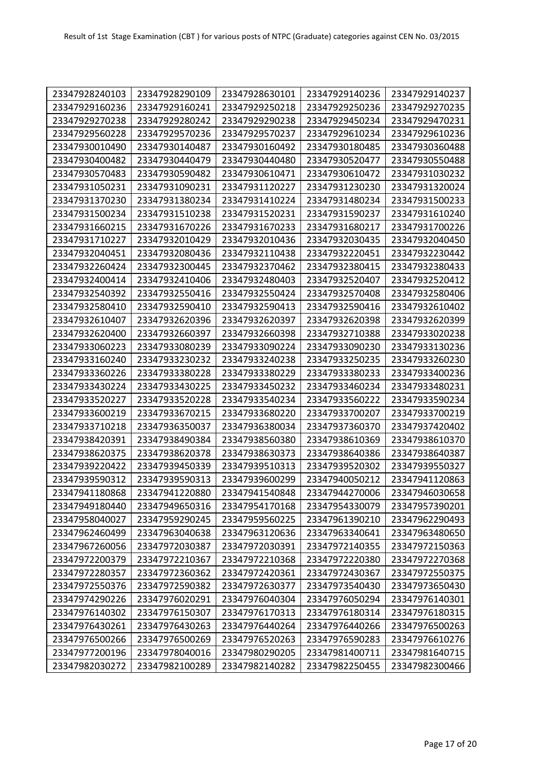| 23347928240103 | 23347928290109 | 23347928630101 | 23347929140236 | 23347929140237 |
|----------------|----------------|----------------|----------------|----------------|
| 23347929160236 | 23347929160241 | 23347929250218 | 23347929250236 | 23347929270235 |
| 23347929270238 | 23347929280242 | 23347929290238 | 23347929450234 | 23347929470231 |
| 23347929560228 | 23347929570236 | 23347929570237 | 23347929610234 | 23347929610236 |
| 23347930010490 | 23347930140487 | 23347930160492 | 23347930180485 | 23347930360488 |
| 23347930400482 | 23347930440479 | 23347930440480 | 23347930520477 | 23347930550488 |
| 23347930570483 | 23347930590482 | 23347930610471 | 23347930610472 | 23347931030232 |
| 23347931050231 | 23347931090231 | 23347931120227 | 23347931230230 | 23347931320024 |
| 23347931370230 | 23347931380234 | 23347931410224 | 23347931480234 | 23347931500233 |
| 23347931500234 | 23347931510238 | 23347931520231 | 23347931590237 | 23347931610240 |
| 23347931660215 | 23347931670226 | 23347931670233 | 23347931680217 | 23347931700226 |
| 23347931710227 | 23347932010429 | 23347932010436 | 23347932030435 | 23347932040450 |
| 23347932040451 | 23347932080436 | 23347932110438 | 23347932220451 | 23347932230442 |
| 23347932260424 | 23347932300445 | 23347932370462 | 23347932380415 | 23347932380433 |
| 23347932400414 | 23347932410406 | 23347932480403 | 23347932520407 | 23347932520412 |
| 23347932540392 | 23347932550416 | 23347932550424 | 23347932570408 | 23347932580406 |
| 23347932580410 | 23347932590410 | 23347932590413 | 23347932590416 | 23347932610402 |
| 23347932610407 | 23347932620396 | 23347932620397 | 23347932620398 | 23347932620399 |
| 23347932620400 | 23347932660397 | 23347932660398 | 23347932710388 | 23347933020238 |
| 23347933060223 | 23347933080239 | 23347933090224 | 23347933090230 | 23347933130236 |
| 23347933160240 | 23347933230232 | 23347933240238 | 23347933250235 | 23347933260230 |
| 23347933360226 | 23347933380228 | 23347933380229 | 23347933380233 | 23347933400236 |
| 23347933430224 | 23347933430225 | 23347933450232 | 23347933460234 | 23347933480231 |
| 23347933520227 | 23347933520228 | 23347933540234 | 23347933560222 | 23347933590234 |
| 23347933600219 | 23347933670215 | 23347933680220 | 23347933700207 | 23347933700219 |
| 23347933710218 | 23347936350037 | 23347936380034 | 23347937360370 | 23347937420402 |
| 23347938420391 | 23347938490384 | 23347938560380 | 23347938610369 | 23347938610370 |
| 23347938620375 | 23347938620378 | 23347938630373 | 23347938640386 | 23347938640387 |
| 23347939220422 | 23347939450339 | 23347939510313 | 23347939520302 | 23347939550327 |
| 23347939590312 | 23347939590313 | 23347939600299 | 23347940050212 | 23347941120863 |
| 23347941180868 | 23347941220880 | 23347941540848 | 23347944270006 | 23347946030658 |
| 23347949180440 | 23347949650316 | 23347954170168 | 23347954330079 | 23347957390201 |
| 23347958040027 | 23347959290245 | 23347959560225 | 23347961390210 | 23347962290493 |
| 23347962460499 | 23347963040638 | 23347963120636 | 23347963340641 | 23347963480650 |
| 23347967260056 | 23347972030387 | 23347972030391 | 23347972140355 | 23347972150363 |
| 23347972200379 | 23347972210367 | 23347972210368 | 23347972220380 | 23347972270368 |
| 23347972280357 | 23347972360362 | 23347972420361 | 23347972430367 | 23347972550375 |
| 23347972550376 | 23347972590382 | 23347972630377 | 23347973540430 | 23347973650430 |
| 23347974290226 | 23347976020291 | 23347976040304 | 23347976050294 | 23347976140301 |
| 23347976140302 | 23347976150307 | 23347976170313 | 23347976180314 | 23347976180315 |
| 23347976430261 | 23347976430263 | 23347976440264 | 23347976440266 | 23347976500263 |
| 23347976500266 | 23347976500269 | 23347976520263 | 23347976590283 | 23347976610276 |
| 23347977200196 | 23347978040016 | 23347980290205 | 23347981400711 | 23347981640715 |
| 23347982030272 | 23347982100289 | 23347982140282 | 23347982250455 | 23347982300466 |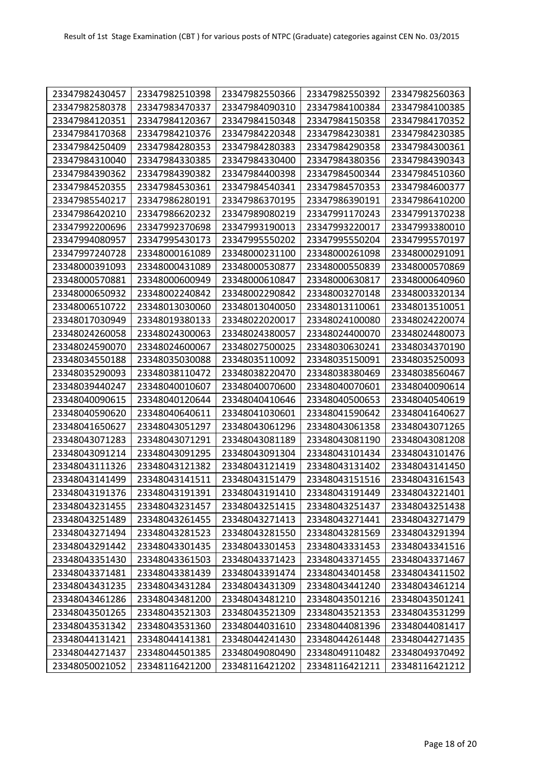| 23347982430457 | 23347982510398 | 23347982550366 | 23347982550392 | 23347982560363 |
|----------------|----------------|----------------|----------------|----------------|
| 23347982580378 | 23347983470337 | 23347984090310 | 23347984100384 | 23347984100385 |
| 23347984120351 | 23347984120367 | 23347984150348 | 23347984150358 | 23347984170352 |
| 23347984170368 | 23347984210376 | 23347984220348 | 23347984230381 | 23347984230385 |
| 23347984250409 | 23347984280353 | 23347984280383 | 23347984290358 | 23347984300361 |
| 23347984310040 | 23347984330385 | 23347984330400 | 23347984380356 | 23347984390343 |
| 23347984390362 | 23347984390382 | 23347984400398 | 23347984500344 | 23347984510360 |
| 23347984520355 | 23347984530361 | 23347984540341 | 23347984570353 | 23347984600377 |
| 23347985540217 | 23347986280191 | 23347986370195 | 23347986390191 | 23347986410200 |
| 23347986420210 | 23347986620232 | 23347989080219 | 23347991170243 | 23347991370238 |
| 23347992200696 | 23347992370698 | 23347993190013 | 23347993220017 | 23347993380010 |
| 23347994080957 | 23347995430173 | 23347995550202 | 23347995550204 | 23347995570197 |
| 23347997240728 | 23348000161089 | 23348000231100 | 23348000261098 | 23348000291091 |
| 23348000391093 | 23348000431089 | 23348000530877 | 23348000550839 | 23348000570869 |
| 23348000570881 | 23348000600949 | 23348000610847 | 23348000630817 | 23348000640960 |
| 23348000650932 | 23348002240842 | 23348002290842 | 23348003270148 | 23348003320134 |
| 23348006510722 | 23348013030060 | 23348013040050 | 23348013110061 | 23348013510051 |
| 23348017030949 | 23348019380133 | 23348022020017 | 23348024100080 | 23348024220074 |
| 23348024260058 | 23348024300063 | 23348024380057 | 23348024400070 | 23348024480073 |
| 23348024590070 | 23348024600067 | 23348027500025 | 23348030630241 | 23348034370190 |
| 23348034550188 | 23348035030088 | 23348035110092 | 23348035150091 | 23348035250093 |
| 23348035290093 | 23348038110472 | 23348038220470 | 23348038380469 | 23348038560467 |
| 23348039440247 | 23348040010607 | 23348040070600 | 23348040070601 | 23348040090614 |
| 23348040090615 | 23348040120644 | 23348040410646 | 23348040500653 | 23348040540619 |
| 23348040590620 | 23348040640611 | 23348041030601 | 23348041590642 | 23348041640627 |
| 23348041650627 | 23348043051297 | 23348043061296 | 23348043061358 | 23348043071265 |
| 23348043071283 | 23348043071291 | 23348043081189 | 23348043081190 | 23348043081208 |
| 23348043091214 | 23348043091295 | 23348043091304 | 23348043101434 | 23348043101476 |
| 23348043111326 | 23348043121382 | 23348043121419 | 23348043131402 | 23348043141450 |
| 23348043141499 | 23348043141511 | 23348043151479 | 23348043151516 | 23348043161543 |
| 23348043191376 | 23348043191391 | 23348043191410 | 23348043191449 | 23348043221401 |
| 23348043231455 | 23348043231457 | 23348043251415 | 23348043251437 | 23348043251438 |
| 23348043251489 | 23348043261455 | 23348043271413 | 23348043271441 | 23348043271479 |
| 23348043271494 | 23348043281523 | 23348043281550 | 23348043281569 | 23348043291394 |
| 23348043291442 | 23348043301435 | 23348043301453 | 23348043331453 | 23348043341516 |
| 23348043351430 | 23348043361503 | 23348043371423 | 23348043371455 | 23348043371467 |
| 23348043371481 | 23348043381439 | 23348043391474 | 23348043401458 | 23348043411502 |
| 23348043431235 | 23348043431284 | 23348043431309 | 23348043441240 | 23348043461214 |
| 23348043461286 | 23348043481200 | 23348043481210 | 23348043501216 | 23348043501241 |
| 23348043501265 | 23348043521303 | 23348043521309 | 23348043521353 | 23348043531299 |
| 23348043531342 | 23348043531360 | 23348044031610 | 23348044081396 | 23348044081417 |
| 23348044131421 | 23348044141381 | 23348044241430 | 23348044261448 | 23348044271435 |
| 23348044271437 | 23348044501385 | 23348049080490 | 23348049110482 | 23348049370492 |
| 23348050021052 | 23348116421200 | 23348116421202 | 23348116421211 | 23348116421212 |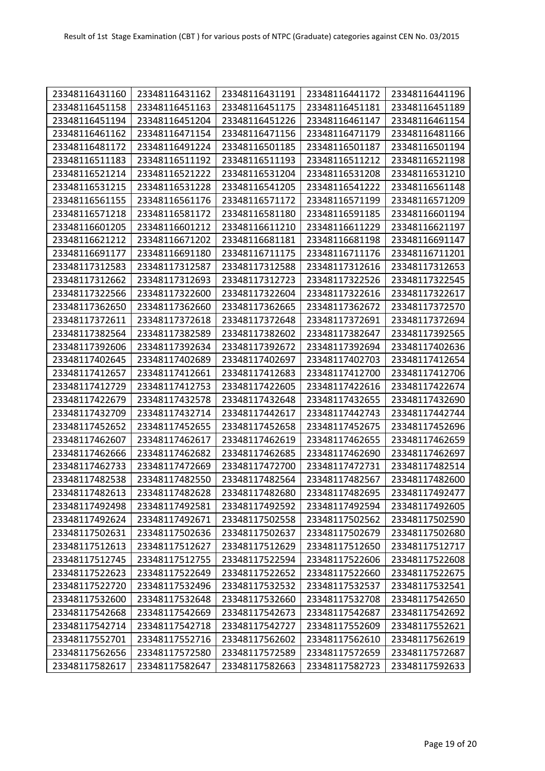| 23348116431160 | 23348116431162 | 23348116431191 | 23348116441172 | 23348116441196 |
|----------------|----------------|----------------|----------------|----------------|
| 23348116451158 | 23348116451163 | 23348116451175 | 23348116451181 | 23348116451189 |
| 23348116451194 | 23348116451204 | 23348116451226 | 23348116461147 | 23348116461154 |
| 23348116461162 | 23348116471154 | 23348116471156 | 23348116471179 | 23348116481166 |
| 23348116481172 | 23348116491224 | 23348116501185 | 23348116501187 | 23348116501194 |
| 23348116511183 | 23348116511192 | 23348116511193 | 23348116511212 | 23348116521198 |
| 23348116521214 | 23348116521222 | 23348116531204 | 23348116531208 | 23348116531210 |
| 23348116531215 | 23348116531228 | 23348116541205 | 23348116541222 | 23348116561148 |
| 23348116561155 | 23348116561176 | 23348116571172 | 23348116571199 | 23348116571209 |
| 23348116571218 | 23348116581172 | 23348116581180 | 23348116591185 | 23348116601194 |
| 23348116601205 | 23348116601212 | 23348116611210 | 23348116611229 | 23348116621197 |
| 23348116621212 | 23348116671202 | 23348116681181 | 23348116681198 | 23348116691147 |
| 23348116691177 | 23348116691180 | 23348116711175 | 23348116711176 | 23348116711201 |
| 23348117312583 | 23348117312587 | 23348117312588 | 23348117312616 | 23348117312653 |
| 23348117312662 | 23348117312693 | 23348117312723 | 23348117322526 | 23348117322545 |
| 23348117322566 | 23348117322600 | 23348117322604 | 23348117322616 | 23348117322617 |
| 23348117362650 | 23348117362660 | 23348117362665 | 23348117362672 | 23348117372570 |
| 23348117372611 | 23348117372618 | 23348117372648 | 23348117372691 | 23348117372694 |
| 23348117382564 | 23348117382589 | 23348117382602 | 23348117382647 | 23348117392565 |
| 23348117392606 | 23348117392634 | 23348117392672 | 23348117392694 | 23348117402636 |
| 23348117402645 | 23348117402689 | 23348117402697 | 23348117402703 | 23348117412654 |
| 23348117412657 | 23348117412661 | 23348117412683 | 23348117412700 | 23348117412706 |
| 23348117412729 | 23348117412753 | 23348117422605 | 23348117422616 | 23348117422674 |
| 23348117422679 | 23348117432578 | 23348117432648 | 23348117432655 | 23348117432690 |
| 23348117432709 | 23348117432714 | 23348117442617 | 23348117442743 | 23348117442744 |
| 23348117452652 | 23348117452655 | 23348117452658 | 23348117452675 | 23348117452696 |
| 23348117462607 | 23348117462617 | 23348117462619 | 23348117462655 | 23348117462659 |
| 23348117462666 | 23348117462682 | 23348117462685 | 23348117462690 | 23348117462697 |
| 23348117462733 | 23348117472669 | 23348117472700 | 23348117472731 | 23348117482514 |
| 23348117482538 | 23348117482550 | 23348117482564 | 23348117482567 | 23348117482600 |
| 23348117482613 | 23348117482628 | 23348117482680 | 23348117482695 | 23348117492477 |
| 23348117492498 | 23348117492581 | 23348117492592 | 23348117492594 | 23348117492605 |
| 23348117492624 | 23348117492671 | 23348117502558 | 23348117502562 | 23348117502590 |
| 23348117502631 | 23348117502636 | 23348117502637 | 23348117502679 | 23348117502680 |
| 23348117512613 | 23348117512627 | 23348117512629 | 23348117512650 | 23348117512717 |
| 23348117512745 | 23348117512755 | 23348117522594 | 23348117522606 | 23348117522608 |
| 23348117522623 | 23348117522649 | 23348117522652 | 23348117522660 | 23348117522675 |
| 23348117522720 | 23348117532496 | 23348117532532 | 23348117532537 | 23348117532541 |
| 23348117532600 | 23348117532648 | 23348117532660 | 23348117532708 | 23348117542650 |
| 23348117542668 | 23348117542669 | 23348117542673 | 23348117542687 | 23348117542692 |
| 23348117542714 | 23348117542718 | 23348117542727 | 23348117552609 | 23348117552621 |
| 23348117552701 | 23348117552716 | 23348117562602 | 23348117562610 | 23348117562619 |
| 23348117562656 | 23348117572580 | 23348117572589 | 23348117572659 | 23348117572687 |
| 23348117582617 | 23348117582647 | 23348117582663 | 23348117582723 | 23348117592633 |